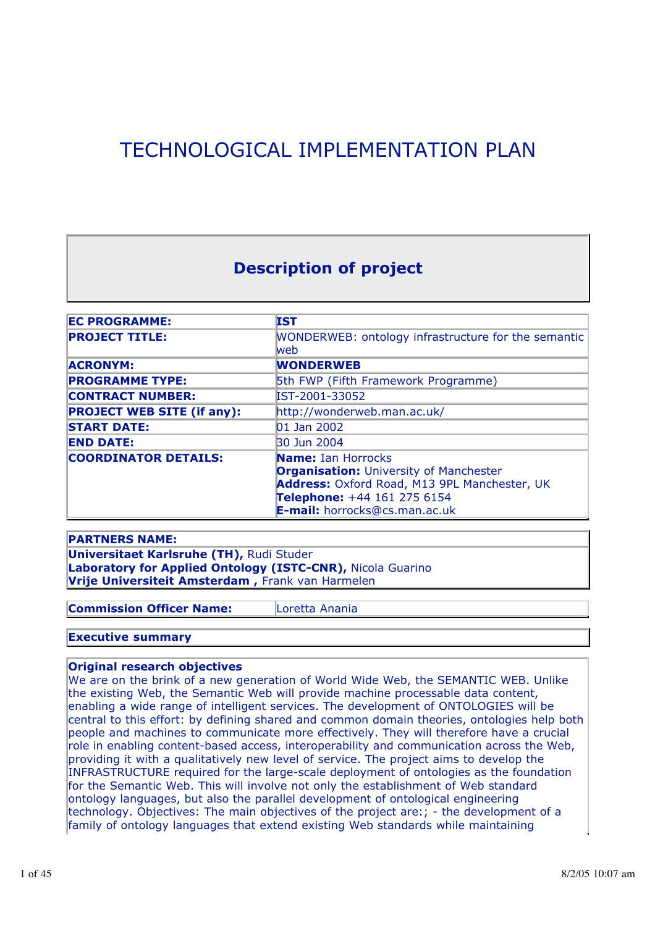# TECHNOLOGICAL IMPLEMENTATION PLAN

# **Description of project**

| <b>EC PROGRAMME:</b>              | <b>IST</b>                                                 |  |
|-----------------------------------|------------------------------------------------------------|--|
| <b>PROJECT TITLE:</b>             | <b>MONDERWEB: ontology infrastructure for the semantic</b> |  |
|                                   | web                                                        |  |
| <b>ACRONYM:</b>                   | <b>WONDERWEB</b>                                           |  |
| <b>PROGRAMME TYPE:</b>            | 5th FWP (Fifth Framework Programme)                        |  |
| <b>CONTRACT NUMBER:</b>           | <b>IST-2001-33052</b>                                      |  |
| <b>PROJECT WEB SITE (if any):</b> | http://wonderweb.man.ac.uk/                                |  |
| <b>START DATE:</b>                | 01 Jan 2002                                                |  |
| <b>END DATE:</b>                  | <b>B0 Jun 2004</b>                                         |  |
| <b>COORDINATOR DETAILS:</b>       | <b>Name: Ian Horrocks</b>                                  |  |
|                                   | <b>Organisation: University of Manchester</b>              |  |
|                                   | Address: Oxford Road, M13 9PL Manchester, UK               |  |
|                                   | Telephone: +44 161 275 6154                                |  |
|                                   | <b>E-mail:</b> horrocks@cs.man.ac.uk                       |  |

# **PARTNERS NAME:**

**Universitaet Karlsruhe (TH),** Rudi Studer **Laboratory for Applied Ontology (ISTC-CNR),** Nicola Guarino **Vrije Universiteit Amsterdam ,** Frank van Harmelen

**Commission Officer Name:** Loretta Anania

### **Executive summary**

#### **Original research objectives**

We are on the brink of a new generation of World Wide Web, the SEMANTIC WEB. Unlike the existing Web, the Semantic Web will provide machine processable data content, enabling a wide range of intelligent services. The development of ONTOLOGIES will be central to this effort: by defining shared and common domain theories, ontologies help both people and machines to communicate more effectively. They will therefore have a crucial role in enabling content-based access, interoperability and communication across the Web, providing it with a qualitatively new level of service. The project aims to develop the INFRASTRUCTURE required for the large-scale deployment of ontologies as the foundation for the Semantic Web. This will involve not only the establishment of Web standard ontology languages, but also the parallel development of ontological engineering technology. Objectives: The main objectives of the project are:; - the development of a family of ontology languages that extend existing Web standards while maintaining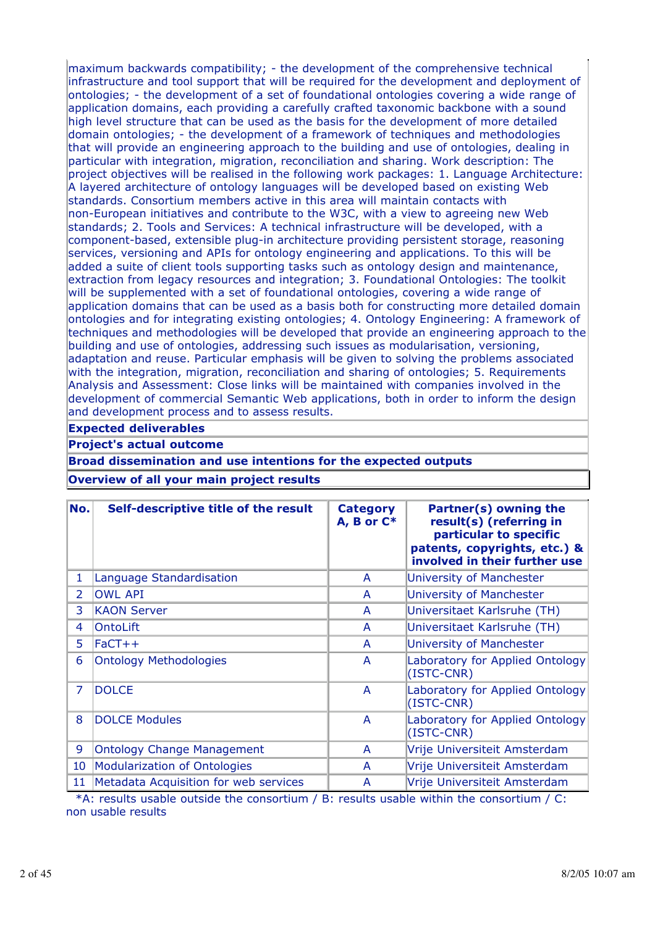maximum backwards compatibility; - the development of the comprehensive technical infrastructure and tool support that will be required for the development and deployment of ontologies; - the development of a set of foundational ontologies covering a wide range of application domains, each providing a carefully crafted taxonomic backbone with a sound high level structure that can be used as the basis for the development of more detailed domain ontologies; - the development of a framework of techniques and methodologies that will provide an engineering approach to the building and use of ontologies, dealing in particular with integration, migration, reconciliation and sharing. Work description: The project objectives will be realised in the following work packages: 1. Language Architecture: A layered architecture of ontology languages will be developed based on existing Web standards. Consortium members active in this area will maintain contacts with non-European initiatives and contribute to the W3C, with a view to agreeing new Web standards; 2. Tools and Services: A technical infrastructure will be developed, with a component-based, extensible plug-in architecture providing persistent storage, reasoning services, versioning and APIs for ontology engineering and applications. To this will be added a suite of client tools supporting tasks such as ontology design and maintenance, extraction from legacy resources and integration; 3. Foundational Ontologies: The toolkit will be supplemented with a set of foundational ontologies, covering a wide range of application domains that can be used as a basis both for constructing more detailed domain ontologies and for integrating existing ontologies; 4. Ontology Engineering: A framework of techniques and methodologies will be developed that provide an engineering approach to the building and use of ontologies, addressing such issues as modularisation, versioning, adaptation and reuse. Particular emphasis will be given to solving the problems associated with the integration, migration, reconciliation and sharing of ontologies; 5. Requirements Analysis and Assessment: Close links will be maintained with companies involved in the development of commercial Semantic Web applications, both in order to inform the design and development process and to assess results.

### **Expected deliverables**

**Project's actual outcome**

**Broad dissemination and use intentions for the expected outputs**

**Overview of all your main project results**

| No. | Self-descriptive title of the result  | <b>Category</b><br>$A, B$ or $C^*$ | Partner(s) owning the<br>result(s) (referring in<br>particular to specific<br>patents, copyrights, etc.) &<br>involved in their further use |
|-----|---------------------------------------|------------------------------------|---------------------------------------------------------------------------------------------------------------------------------------------|
| 1   | Language Standardisation              | A                                  | University of Manchester                                                                                                                    |
| 2   | OWL API                               | A                                  | University of Manchester                                                                                                                    |
| 3   | <b>KAON Server</b>                    | A                                  | Universitaet Karlsruhe (TH)                                                                                                                 |
| 4   | OntoLift                              | A                                  | Universitaet Karlsruhe (TH)                                                                                                                 |
| 5.  | $FACT++$                              | A                                  | University of Manchester                                                                                                                    |
| 6   | <b>Ontology Methodologies</b>         | A                                  | Laboratory for Applied Ontology<br>(ISTC-CNR)                                                                                               |
| 7   | <b>IDOLCE</b>                         | A                                  | Laboratory for Applied Ontology<br>(ISTC-CNR)                                                                                               |
| 8   | <b>DOLCE Modules</b>                  | A                                  | Laboratory for Applied Ontology<br>(ISTC-CNR)                                                                                               |
| 9   | <b>Ontology Change Management</b>     | A                                  | Vrije Universiteit Amsterdam                                                                                                                |
| 10  | Modularization of Ontologies          | A                                  | Vrije Universiteit Amsterdam                                                                                                                |
| 11  | Metadata Acquisition for web services | A                                  | Vrije Universiteit Amsterdam                                                                                                                |

 \*A: results usable outside the consortium / B: results usable within the consortium / C: non usable results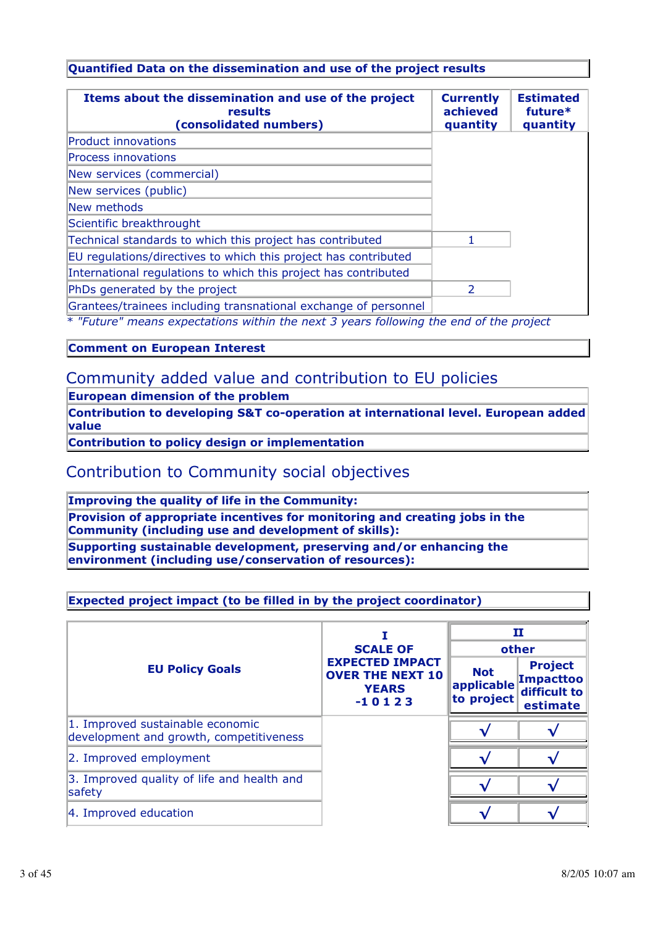### **Quantified Data on the dissemination and use of the project results**

| Items about the dissemination and use of the project<br>results<br>(consolidated numbers) | <b>Currently</b><br>achieved<br>quantity | <b>Estimated</b><br>future*<br>quantity |
|-------------------------------------------------------------------------------------------|------------------------------------------|-----------------------------------------|
| <b>Product innovations</b>                                                                |                                          |                                         |
| <b>Process innovations</b>                                                                |                                          |                                         |
| New services (commercial)                                                                 |                                          |                                         |
| New services (public)                                                                     |                                          |                                         |
| New methods                                                                               |                                          |                                         |
| Scientific breakthrought                                                                  |                                          |                                         |
| Technical standards to which this project has contributed                                 |                                          |                                         |
| EU regulations/directives to which this project has contributed                           |                                          |                                         |
| International regulations to which this project has contributed                           |                                          |                                         |
| PhDs generated by the project                                                             | 2                                        |                                         |
| Grantees/trainees including transnational exchange of personnel                           |                                          |                                         |

*\* "Future" means expectations within the next 3 years following the end of the project*

**Comment on European Interest**

# Community added value and contribution to EU policies

**European dimension of the problem**

**Contribution to developing S&T co-operation at international level. European added value**

**Contribution to policy design or implementation**

# Contribution to Community social objectives

**Improving the quality of life in the Community: Provision of appropriate incentives for monitoring and creating jobs in the Community (including use and development of skills): Supporting sustainable development, preserving and/or enhancing the environment (including use/conservation of resources):**

# **Expected project impact (to be filled in by the project coordinator)**

|                                                                             | <b>SCALE OF</b>                                                               | ${\bf II}$<br>other                    |                                                                |  |
|-----------------------------------------------------------------------------|-------------------------------------------------------------------------------|----------------------------------------|----------------------------------------------------------------|--|
| <b>EU Policy Goals</b>                                                      | <b>EXPECTED IMPACT</b><br><b>OVER THE NEXT 10</b><br><b>YEARS</b><br>$-10123$ | <b>Not</b><br>applicable<br>to project | <b>Project</b><br><b>Impacttoo</b><br>difficult to<br>estimate |  |
| 1. Improved sustainable economic<br>development and growth, competitiveness |                                                                               |                                        |                                                                |  |
| 2. Improved employment                                                      |                                                                               |                                        |                                                                |  |
| 3. Improved quality of life and health and<br>safety                        |                                                                               |                                        |                                                                |  |
| 4. Improved education                                                       |                                                                               |                                        |                                                                |  |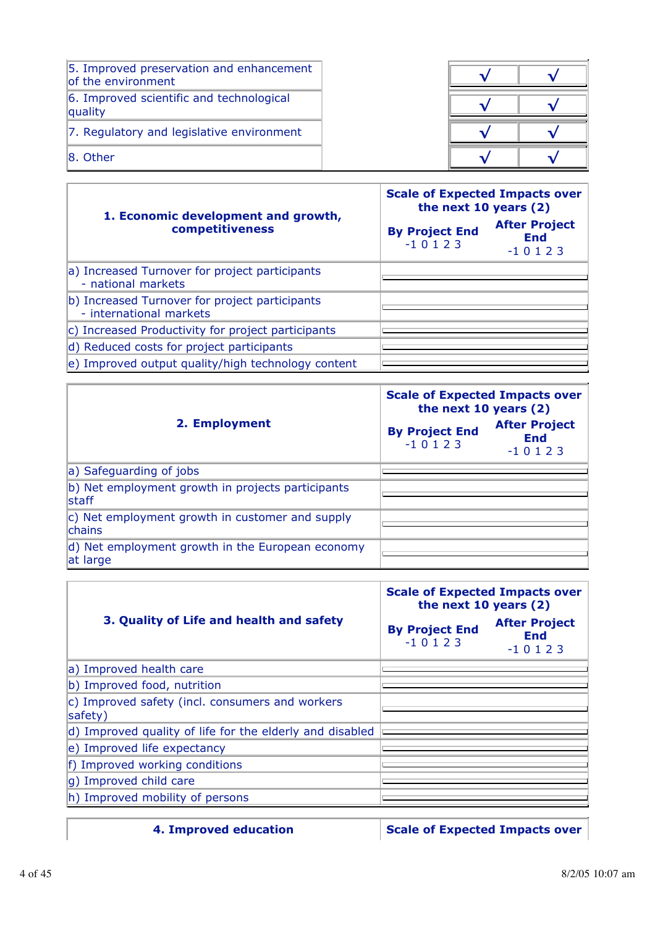| 5. Improved preservation and enhancement<br>of the environment |  |  |
|----------------------------------------------------------------|--|--|
| 6. Improved scientific and technological<br>quality            |  |  |
| 7. Regulatory and legislative environment                      |  |  |
| 8. Other                                                       |  |  |

| 1. Economic development and growth,<br>competitiveness                    | <b>Scale of Expected Impacts over</b><br>the next 10 years (2) |                                                |  |
|---------------------------------------------------------------------------|----------------------------------------------------------------|------------------------------------------------|--|
|                                                                           | <b>By Project End</b><br>$-10123$                              | <b>After Project</b><br><b>End</b><br>$-10123$ |  |
| a) Increased Turnover for project participants<br>- national markets      |                                                                |                                                |  |
| b) Increased Turnover for project participants<br>- international markets |                                                                |                                                |  |
| c) Increased Productivity for project participants                        |                                                                |                                                |  |
| d) Reduced costs for project participants                                 |                                                                |                                                |  |
| e) Improved output quality/high technology content                        |                                                                |                                                |  |

|                                                                      | <b>Scale of Expected Impacts over</b><br>the next 10 years (2) |                                                |  |
|----------------------------------------------------------------------|----------------------------------------------------------------|------------------------------------------------|--|
| 2. Employment                                                        | <b>By Project End</b><br>$-10123$                              | <b>After Project</b><br><b>End</b><br>$-10123$ |  |
| $ a $ Safeguarding of jobs                                           |                                                                |                                                |  |
| b) Net employment growth in projects participants<br><b>Staff</b>    |                                                                |                                                |  |
| $ c $ Net employment growth in customer and supply<br><b>Ichains</b> |                                                                |                                                |  |
| d) Net employment growth in the European economy<br>at large         |                                                                |                                                |  |

| 3. Quality of Life and health and safety                      | <b>Scale of Expected Impacts over</b><br>the next 10 years (2) |                                                |  |
|---------------------------------------------------------------|----------------------------------------------------------------|------------------------------------------------|--|
|                                                               | <b>By Project End</b><br>$-10123$                              | <b>After Project</b><br><b>End</b><br>$-10123$ |  |
| a) Improved health care                                       |                                                                |                                                |  |
| b) Improved food, nutrition                                   |                                                                |                                                |  |
| $ c $ Improved safety (incl. consumers and workers<br>safety) |                                                                |                                                |  |
| d) Improved quality of life for the elderly and disabled      |                                                                |                                                |  |
| e) Improved life expectancy                                   |                                                                |                                                |  |
| f) Improved working conditions                                |                                                                |                                                |  |
| g) Improved child care                                        |                                                                |                                                |  |
| h) Improved mobility of persons                               |                                                                |                                                |  |

**4. Improved education <b>Scale of Expected Impacts over**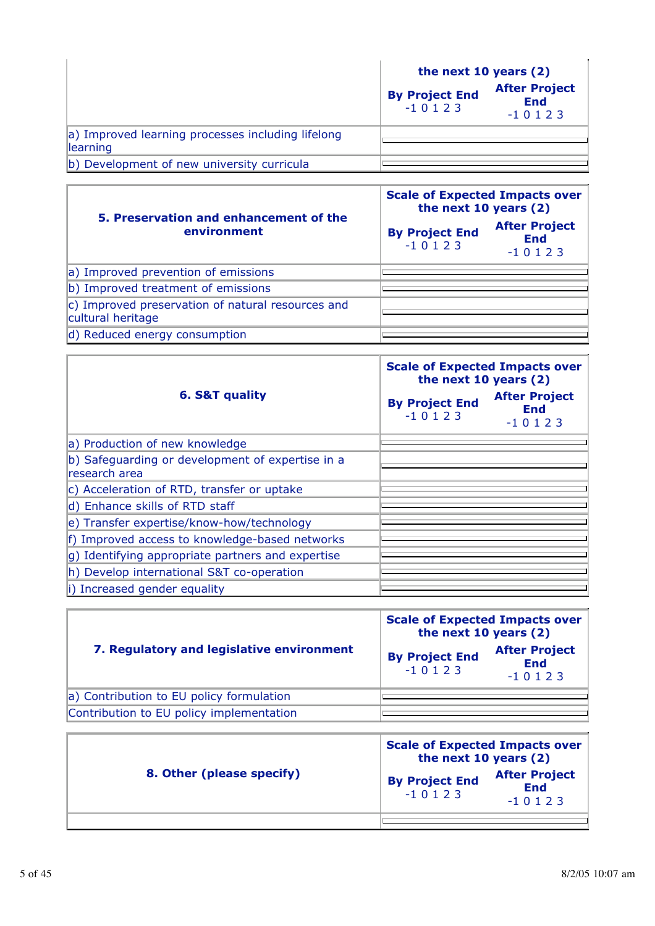|                                                   | the next 10 years (2)             |                                                |
|---------------------------------------------------|-----------------------------------|------------------------------------------------|
|                                                   | <b>By Project End</b><br>$-10123$ | <b>After Project</b><br><b>End</b><br>$-10123$ |
| a) Improved learning processes including lifelong |                                   |                                                |
| llearning                                         |                                   |                                                |
| b) Development of new university curricula        |                                   |                                                |

| 5. Preservation and enhancement of the<br>environment                     | <b>Scale of Expected Impacts over</b><br>the next 10 years (2) |                                                |  |
|---------------------------------------------------------------------------|----------------------------------------------------------------|------------------------------------------------|--|
|                                                                           | <b>By Project End</b><br>$-10123$                              | <b>After Project</b><br><b>End</b><br>$-10123$ |  |
| a) Improved prevention of emissions                                       |                                                                |                                                |  |
| b) Improved treatment of emissions                                        |                                                                |                                                |  |
| $ c $ Improved preservation of natural resources and<br>cultural heritage |                                                                |                                                |  |
| d) Reduced energy consumption                                             |                                                                |                                                |  |

|                                                                    | <b>Scale of Expected Impacts over</b><br>the next 10 years (2) |                                         |  |
|--------------------------------------------------------------------|----------------------------------------------------------------|-----------------------------------------|--|
| 6. S&T quality                                                     | <b>By Project End</b><br>$-10123$                              | <b>After Project</b><br>End<br>$-10123$ |  |
| a) Production of new knowledge                                     |                                                                |                                         |  |
| b) Safeguarding or development of expertise in a<br>lresearch area |                                                                |                                         |  |
| c) Acceleration of RTD, transfer or uptake                         |                                                                |                                         |  |
| d) Enhance skills of RTD staff                                     |                                                                |                                         |  |
| e) Transfer expertise/know-how/technology                          |                                                                |                                         |  |
| f) Improved access to knowledge-based networks                     |                                                                |                                         |  |
| g) Identifying appropriate partners and expertise                  |                                                                |                                         |  |
| h) Develop international S&T co-operation                          |                                                                |                                         |  |
| i) Increased gender equality                                       |                                                                |                                         |  |

|                                           | <b>Scale of Expected Impacts over</b><br>the next 10 years (2) |                                                |  |
|-------------------------------------------|----------------------------------------------------------------|------------------------------------------------|--|
| 7. Regulatory and legislative environment | <b>By Project End</b><br>$-10123$                              | <b>After Project</b><br><b>End</b><br>$-10123$ |  |
| a) Contribution to EU policy formulation  |                                                                |                                                |  |
| Contribution to EU policy implementation  |                                                                |                                                |  |

|                           | <b>Scale of Expected Impacts over</b><br>the next 10 years (2) |                                                |  |
|---------------------------|----------------------------------------------------------------|------------------------------------------------|--|
| 8. Other (please specify) | <b>By Project End</b><br>$-10123$                              | <b>After Project</b><br><b>End</b><br>$-10123$ |  |
|                           |                                                                |                                                |  |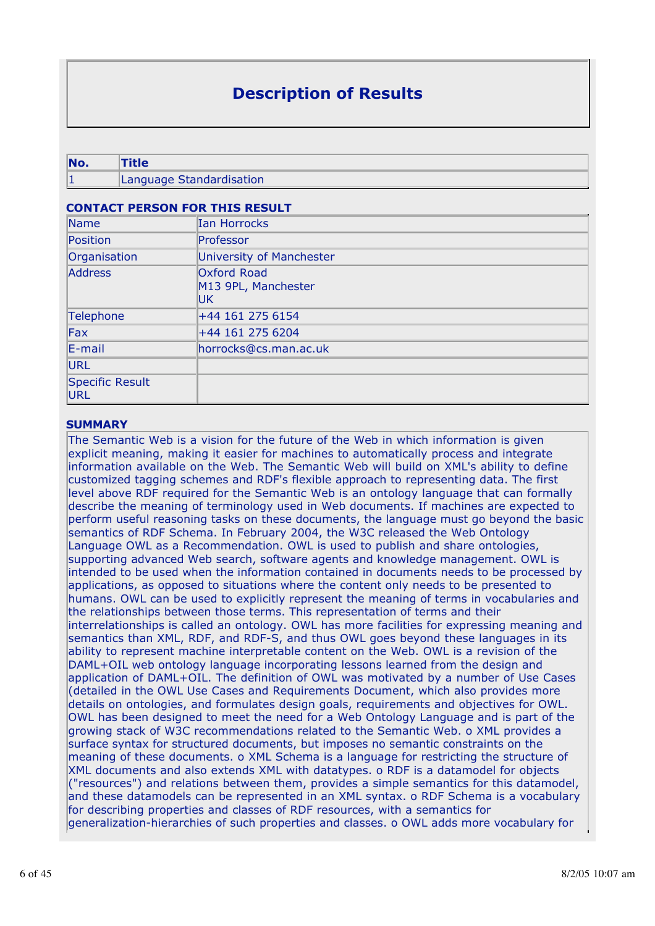# **Description of Results**

| No. |                          |
|-----|--------------------------|
| 11  | Language Standardisation |

| <b>CONTACT PERSON FOR THIS RESULT</b> |                                           |
|---------------------------------------|-------------------------------------------|
| <b>Name</b>                           | <b>Ian Horrocks</b>                       |
| Position                              | Professor                                 |
| Organisation                          | University of Manchester                  |
| <b>Address</b>                        | Oxford Road<br>M13 9PL, Manchester<br>UK. |
| Telephone                             | +44 161 275 6154                          |
| Fax                                   | +44 161 275 6204                          |
| E-mail                                | horrocks@cs.man.ac.uk                     |
| <b>URL</b>                            |                                           |
| Specific Result<br>URL                |                                           |

#### **SUMMARY**

The Semantic Web is a vision for the future of the Web in which information is given explicit meaning, making it easier for machines to automatically process and integrate information available on the Web. The Semantic Web will build on XML's ability to define customized tagging schemes and RDF's flexible approach to representing data. The first level above RDF required for the Semantic Web is an ontology language that can formally describe the meaning of terminology used in Web documents. If machines are expected to perform useful reasoning tasks on these documents, the language must go beyond the basic semantics of RDF Schema. In February 2004, the W3C released the Web Ontology Language OWL as a Recommendation. OWL is used to publish and share ontologies, supporting advanced Web search, software agents and knowledge management. OWL is intended to be used when the information contained in documents needs to be processed by applications, as opposed to situations where the content only needs to be presented to humans. OWL can be used to explicitly represent the meaning of terms in vocabularies and the relationships between those terms. This representation of terms and their interrelationships is called an ontology. OWL has more facilities for expressing meaning and semantics than XML, RDF, and RDF-S, and thus OWL goes beyond these languages in its ability to represent machine interpretable content on the Web. OWL is a revision of the DAML+OIL web ontology language incorporating lessons learned from the design and application of DAML+OIL. The definition of OWL was motivated by a number of Use Cases (detailed in the OWL Use Cases and Requirements Document, which also provides more details on ontologies, and formulates design goals, requirements and objectives for OWL. OWL has been designed to meet the need for a Web Ontology Language and is part of the growing stack of W3C recommendations related to the Semantic Web. o XML provides a surface syntax for structured documents, but imposes no semantic constraints on the meaning of these documents. o XML Schema is a language for restricting the structure of XML documents and also extends XML with datatypes. o RDF is a datamodel for objects ("resources") and relations between them, provides a simple semantics for this datamodel, and these datamodels can be represented in an XML syntax. o RDF Schema is a vocabulary for describing properties and classes of RDF resources, with a semantics for generalization-hierarchies of such properties and classes. o OWL adds more vocabulary for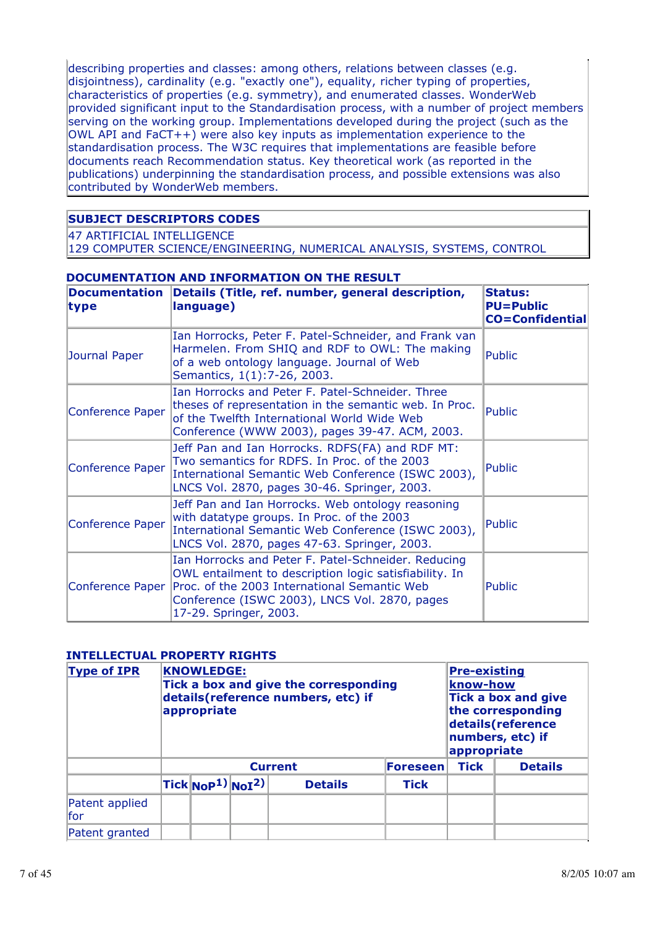describing properties and classes: among others, relations between classes (e.g. disjointness), cardinality (e.g. "exactly one"), equality, richer typing of properties, characteristics of properties (e.g. symmetry), and enumerated classes. WonderWeb provided significant input to the Standardisation process, with a number of project members serving on the working group. Implementations developed during the project (such as the OWL API and FaCT++) were also key inputs as implementation experience to the standardisation process. The W3C requires that implementations are feasible before documents reach Recommendation status. Key theoretical work (as reported in the publications) underpinning the standardisation process, and possible extensions was also contributed by WonderWeb members.

# **SUBJECT DESCRIPTORS CODES**

47 ARTIFICIAL INTELLIGENCE

129 COMPUTER SCIENCE/ENGINEERING, NUMERICAL ANALYSIS, SYSTEMS, CONTROL

### **DOCUMENTATION AND INFORMATION ON THE RESULT**

| <b>Documentation</b><br>type | Details (Title, ref. number, general description,<br>language)                                                                                                                                                                           | <b>Status:</b><br><b>PU=Public</b><br><b>CO=Confidential</b> |
|------------------------------|------------------------------------------------------------------------------------------------------------------------------------------------------------------------------------------------------------------------------------------|--------------------------------------------------------------|
| Journal Paper                | Ian Horrocks, Peter F. Patel-Schneider, and Frank van<br>Harmelen. From SHIQ and RDF to OWL: The making<br>of a web ontology language. Journal of Web<br>Semantics, 1(1):7-26, 2003.                                                     | <b>Public</b>                                                |
| Conference Paper             | Ian Horrocks and Peter F. Patel-Schneider. Three<br>theses of representation in the semantic web. In Proc.<br>of the Twelfth International World Wide Web<br>Conference (WWW 2003), pages 39-47. ACM, 2003.                              | <b>Public</b>                                                |
| Conference Paper             | Jeff Pan and Ian Horrocks. RDFS(FA) and RDF MT:<br>Two semantics for RDFS. In Proc. of the 2003<br>International Semantic Web Conference (ISWC 2003),<br>LNCS Vol. 2870, pages 30-46. Springer, 2003.                                    | <b>Public</b>                                                |
| Conference Paper             | Jeff Pan and Ian Horrocks. Web ontology reasoning<br>with datatype groups. In Proc. of the 2003<br>International Semantic Web Conference (ISWC 2003),<br>LNCS Vol. 2870, pages 47-63. Springer, 2003.                                    | <b>Public</b>                                                |
| Conference Paper             | Ian Horrocks and Peter F. Patel-Schneider. Reducing<br>OWL entailment to description logic satisfiability. In<br>Proc. of the 2003 International Semantic Web<br>Conference (ISWC 2003), LNCS Vol. 2870, pages<br>17-29. Springer, 2003. | <b>Public</b>                                                |

### **INTELLECTUAL PROPERTY RIGHTS**

| <b>Type of IPR</b>     | <b>KNOWLEDGE:</b><br>appropriate        | Tick a box and give the corresponding<br>details (reference numbers, etc) if | <b>Pre-existing</b><br>know-how<br><b>Tick a box and give</b><br>the corresponding<br>details (reference<br>numbers, etc) if<br>appropriate |             |             |                |
|------------------------|-----------------------------------------|------------------------------------------------------------------------------|---------------------------------------------------------------------------------------------------------------------------------------------|-------------|-------------|----------------|
|                        |                                         | <b>Current</b>                                                               |                                                                                                                                             | Foreseen    | <b>Tick</b> | <b>Details</b> |
|                        | Tick NOP <sup>1</sup>  NOP <sup>2</sup> |                                                                              | <b>Details</b>                                                                                                                              | <b>Tick</b> |             |                |
| Patent applied<br>lfor |                                         |                                                                              |                                                                                                                                             |             |             |                |
| Patent granted         |                                         |                                                                              |                                                                                                                                             |             |             |                |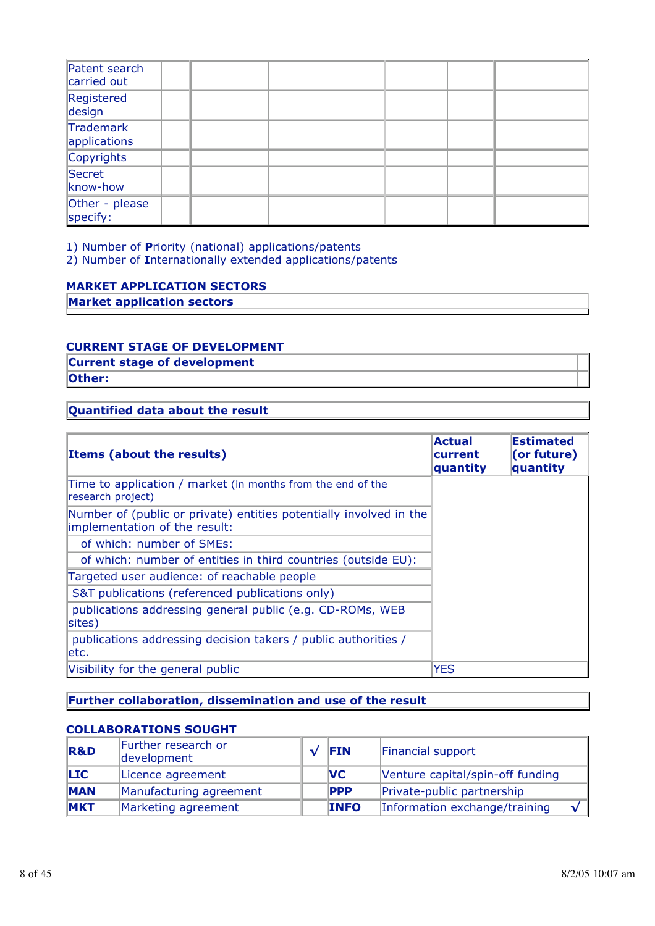| Patent search<br>carried out |  |  |  |
|------------------------------|--|--|--|
| Registered<br>design         |  |  |  |
| Trademark<br>applications    |  |  |  |
| Copyrights                   |  |  |  |
| Secret<br>know-how           |  |  |  |
| Other - please<br>specify:   |  |  |  |

1) Number of **P**riority (national) applications/patents

2) Number of **I**nternationally extended applications/patents

# **MARKET APPLICATION SECTORS**

**Market application sectors**

### **CURRENT STAGE OF DEVELOPMENT**

**Current stage of development Other:**

# **Quantified data about the result**

| <b>Items (about the results)</b>                                                                    | <b>Actual</b><br>current<br>quantity | <b>Estimated</b><br>(or future)<br>quantity |
|-----------------------------------------------------------------------------------------------------|--------------------------------------|---------------------------------------------|
| Time to application / market (in months from the end of the<br>research project)                    |                                      |                                             |
| Number of (public or private) entities potentially involved in the<br>implementation of the result: |                                      |                                             |
| of which: number of SMEs:                                                                           |                                      |                                             |
| of which: number of entities in third countries (outside EU):                                       |                                      |                                             |
| Targeted user audience: of reachable people                                                         |                                      |                                             |
| S&T publications (referenced publications only)                                                     |                                      |                                             |
| publications addressing general public (e.g. CD-ROMs, WEB<br>sites)                                 |                                      |                                             |
| publications addressing decision takers / public authorities /<br>letc.                             |                                      |                                             |
| Visibility for the general public                                                                   | <b>YES</b>                           |                                             |

# **Further collaboration, dissemination and use of the result**

### **COLLABORATIONS SOUGHT**

| <b>R&amp;D</b> | Further research or<br>development | <b>FIN</b>                                   | Financial support                |            |
|----------------|------------------------------------|----------------------------------------------|----------------------------------|------------|
| <b>LIC</b>     | Licence agreement                  | <b>VC</b>                                    | Venture capital/spin-off funding |            |
| <b>MAN</b>     | Manufacturing agreement            | <b>PPP</b>                                   | Private-public partnership       |            |
| <b>MKT</b>     | Marketing agreement                | Information exchange/training<br><b>INFO</b> |                                  | $\sqrt{ }$ |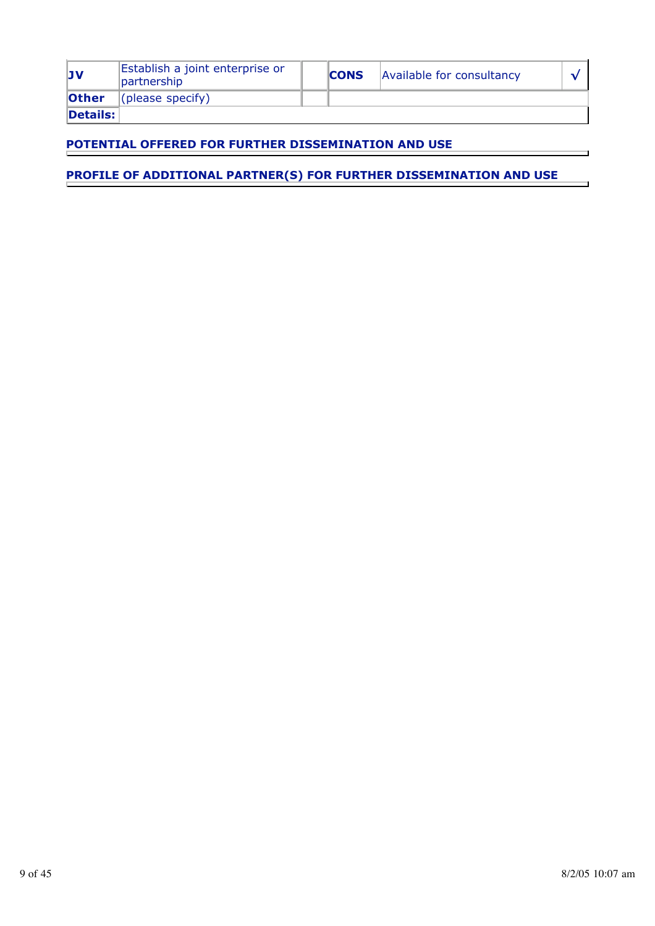| IJV          | Establish a joint enterprise or<br>partnership | <b>CONS</b> | Available for consultancy |  |
|--------------|------------------------------------------------|-------------|---------------------------|--|
| <b>Other</b> | $ $ (please specify)                           |             |                           |  |
| Details:     |                                                |             |                           |  |

# **POTENTIAL OFFERED FOR FURTHER DISSEMINATION AND USE**

# **PROFILE OF ADDITIONAL PARTNER(S) FOR FURTHER DISSEMINATION AND USE**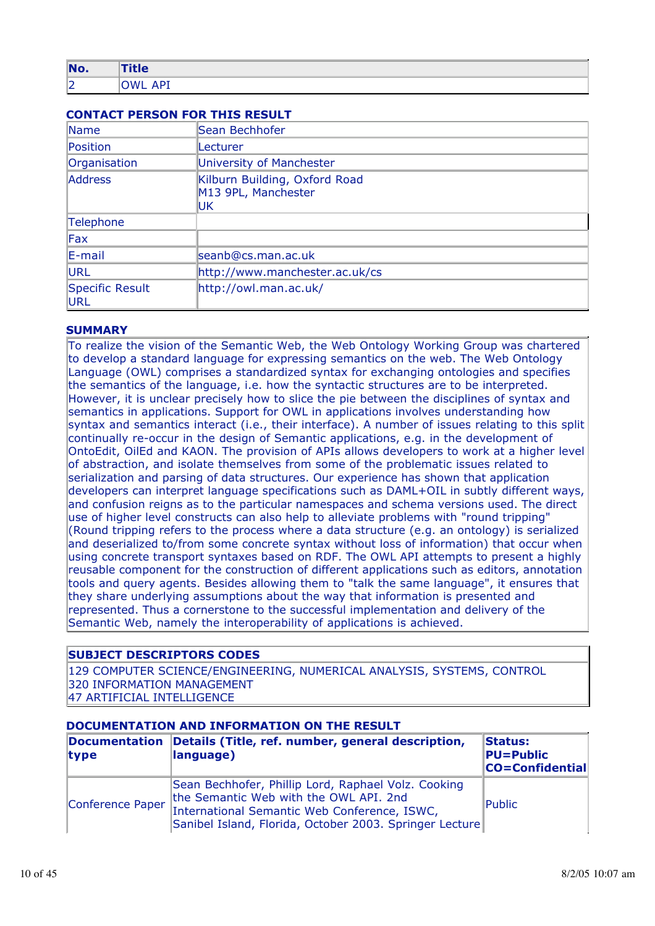| No.     | TILIC                  |
|---------|------------------------|
| ∽<br>∐∠ | $- -$<br>ΛD<br>_ _ _ _ |

| Name                          | Sean Bechhofer                                              |
|-------------------------------|-------------------------------------------------------------|
| <b>Position</b>               | Lecturer                                                    |
| Organisation                  | University of Manchester                                    |
| <b>Address</b>                | Kilburn Building, Oxford Road<br>M13 9PL, Manchester<br>IJΚ |
| Telephone                     |                                                             |
| Fax                           |                                                             |
| $E$ -mail                     | seanb@cs.man.ac.uk                                          |
| <b>URL</b>                    | http://www.manchester.ac.uk/cs                              |
| Specific Result<br><b>URL</b> | http://owl.man.ac.uk/                                       |

### **SUMMARY**

To realize the vision of the Semantic Web, the Web Ontology Working Group was chartered to develop a standard language for expressing semantics on the web. The Web Ontology Language (OWL) comprises a standardized syntax for exchanging ontologies and specifies the semantics of the language, i.e. how the syntactic structures are to be interpreted. However, it is unclear precisely how to slice the pie between the disciplines of syntax and semantics in applications. Support for OWL in applications involves understanding how syntax and semantics interact (i.e., their interface). A number of issues relating to this split continually re-occur in the design of Semantic applications, e.g. in the development of OntoEdit, OilEd and KAON. The provision of APIs allows developers to work at a higher level of abstraction, and isolate themselves from some of the problematic issues related to serialization and parsing of data structures. Our experience has shown that application developers can interpret language specifications such as DAML+OIL in subtly different ways, and confusion reigns as to the particular namespaces and schema versions used. The direct use of higher level constructs can also help to alleviate problems with "round tripping" (Round tripping refers to the process where a data structure (e.g. an ontology) is serialized and deserialized to/from some concrete syntax without loss of information) that occur when using concrete transport syntaxes based on RDF. The OWL API attempts to present a highly reusable component for the construction of different applications such as editors, annotation tools and query agents. Besides allowing them to "talk the same language", it ensures that they share underlying assumptions about the way that information is presented and represented. Thus a cornerstone to the successful implementation and delivery of the Semantic Web, namely the interoperability of applications is achieved.

### **SUBJECT DESCRIPTORS CODES**

129 COMPUTER SCIENCE/ENGINEERING, NUMERICAL ANALYSIS, SYSTEMS, CONTROL 320 INFORMATION MANAGEMENT 47 ARTIFICIAL INTELLIGENCE

### **DOCUMENTATION AND INFORMATION ON THE RESULT**

| Documentation<br>${type}$ | Details (Title, ref. number, general description,<br>language)                                                                                                                                           | <b>Status:</b><br><b>PU=Public</b><br><b>CO=Confidential</b> |
|---------------------------|----------------------------------------------------------------------------------------------------------------------------------------------------------------------------------------------------------|--------------------------------------------------------------|
| Conference Paper          | Sean Bechhofer, Phillip Lord, Raphael Volz. Cooking<br>the Semantic Web with the OWL API. 2nd<br>International Semantic Web Conference, ISWC,<br>Sanibel Island, Florida, October 2003. Springer Lecture | <b>Public</b>                                                |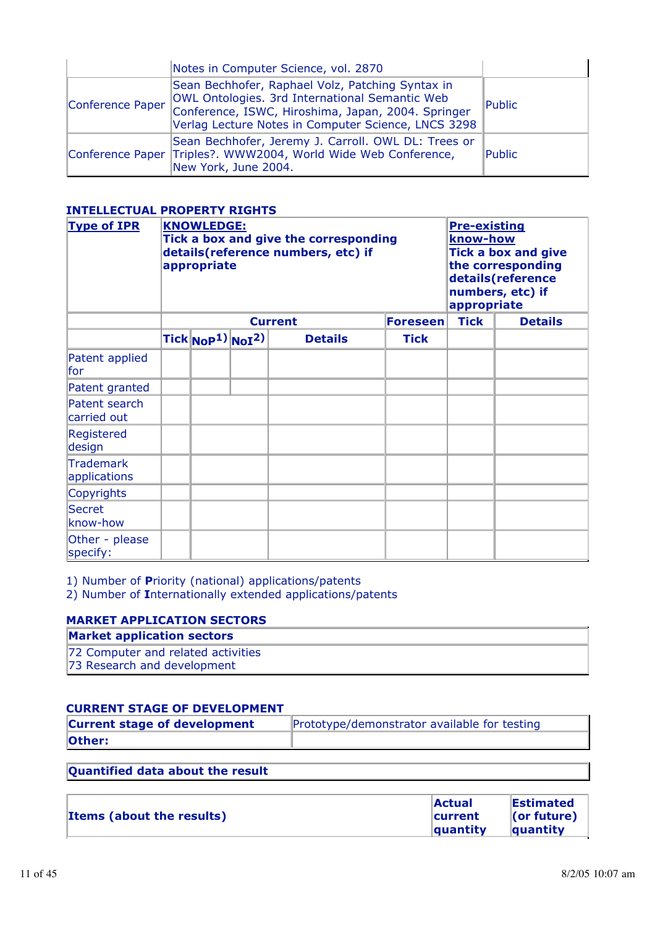|                  | Notes in Computer Science, vol. 2870                                                                                                                                                                            |        |
|------------------|-----------------------------------------------------------------------------------------------------------------------------------------------------------------------------------------------------------------|--------|
| Conference Paper | Sean Bechhofer, Raphael Volz, Patching Syntax in<br>OWL Ontologies. 3rd International Semantic Web<br>Conference, ISWC, Hiroshima, Japan, 2004. Springer<br>Verlag Lecture Notes in Computer Science, LNCS 3298 | Public |
|                  | Sean Bechhofer, Jeremy J. Carroll. OWL DL: Trees or<br>Conference Paper Triples?. WWW2004, World Wide Web Conference,<br>New York, June 2004.                                                                   | Public |

### **INTELLECTUAL PROPERTY RIGHTS**

| <b>Type of IPR</b>               | <b>KNOWLEDGE:</b><br>Tick a box and give the corresponding<br>details(reference numbers, etc) if<br>appropriate |                                         |  |                |             |             | <b>Pre-existing</b><br>know-how<br><b>Tick a box and give</b><br>the corresponding<br>details (reference<br>numbers, etc) if<br>appropriate |  |
|----------------------------------|-----------------------------------------------------------------------------------------------------------------|-----------------------------------------|--|----------------|-------------|-------------|---------------------------------------------------------------------------------------------------------------------------------------------|--|
|                                  |                                                                                                                 |                                         |  | <b>Current</b> | Foreseen    | <b>Tick</b> | <b>Details</b>                                                                                                                              |  |
|                                  |                                                                                                                 | Tick NOP <sup>1</sup>  NOP <sup>2</sup> |  | <b>Details</b> | <b>Tick</b> |             |                                                                                                                                             |  |
| Patent applied<br>lfor           |                                                                                                                 |                                         |  |                |             |             |                                                                                                                                             |  |
| Patent granted                   |                                                                                                                 |                                         |  |                |             |             |                                                                                                                                             |  |
| Patent search<br>carried out     |                                                                                                                 |                                         |  |                |             |             |                                                                                                                                             |  |
| Registered<br>design             |                                                                                                                 |                                         |  |                |             |             |                                                                                                                                             |  |
| <b>Trademark</b><br>applications |                                                                                                                 |                                         |  |                |             |             |                                                                                                                                             |  |
| Copyrights                       |                                                                                                                 |                                         |  |                |             |             |                                                                                                                                             |  |
| Secret<br>know-how               |                                                                                                                 |                                         |  |                |             |             |                                                                                                                                             |  |
| Other - please<br>specify:       |                                                                                                                 |                                         |  |                |             |             |                                                                                                                                             |  |

1) Number of **P**riority (national) applications/patents

2) Number of **I**nternationally extended applications/patents

# **MARKET APPLICATION SECTORS**

# **Market application sectors**

72 Computer and related activities 73 Research and development

# **CURRENT STAGE OF DEVELOPMENT**

| <b>Current stage of development</b> | Prototype/demonstrator available for testing |
|-------------------------------------|----------------------------------------------|
| <b>Other:</b>                       |                                              |

# **Quantified data about the result**

|                                  | <b>Actual</b>                 | <b>Estimated</b> |
|----------------------------------|-------------------------------|------------------|
| <b>Items (about the results)</b> | <b>current</b>                | $ $ (or future)  |
|                                  | <i><b><u>duantity</u></b></i> | quantity         |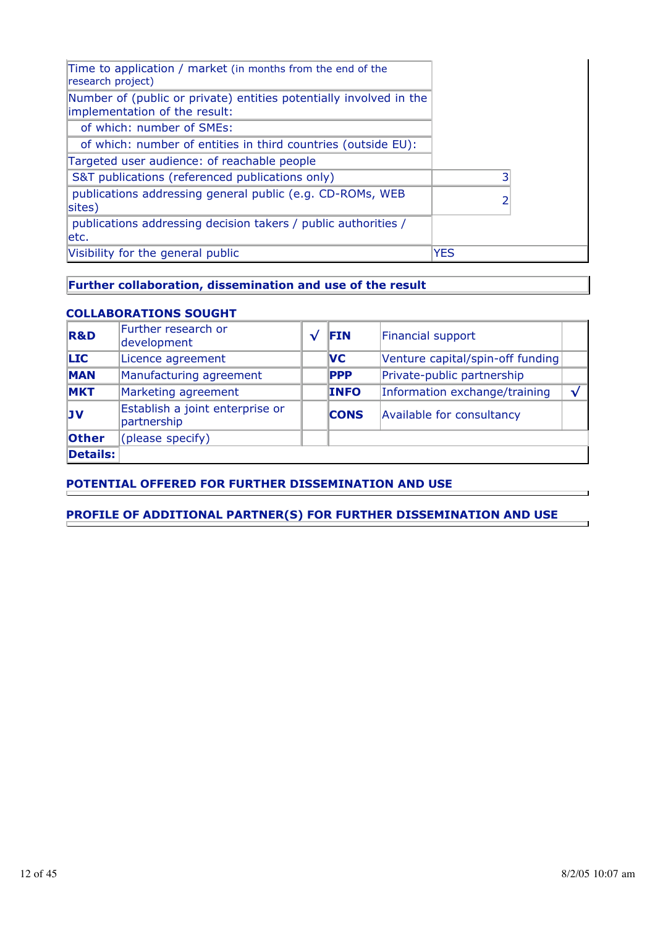| Time to application / market (in months from the end of the<br>research project)                    |            |  |
|-----------------------------------------------------------------------------------------------------|------------|--|
| Number of (public or private) entities potentially involved in the<br>implementation of the result: |            |  |
| of which: number of SMEs:                                                                           |            |  |
| of which: number of entities in third countries (outside EU):                                       |            |  |
| Targeted user audience: of reachable people                                                         |            |  |
| S&T publications (referenced publications only)                                                     |            |  |
| publications addressing general public (e.g. CD-ROMs, WEB<br>sites)                                 | 2          |  |
| publications addressing decision takers / public authorities /<br>letc.                             |            |  |
| Visibility for the general public                                                                   | <b>YES</b> |  |

# **Further collaboration, dissemination and use of the result**

# **COLLABORATIONS SOUGHT**

| <b>R&amp;D</b> | Further research or<br>development             | <b>FIN</b>  | Financial support                |   |
|----------------|------------------------------------------------|-------------|----------------------------------|---|
| <b>LIC</b>     | Licence agreement                              | <b>NC</b>   | Venture capital/spin-off funding |   |
| <b>MAN</b>     | Manufacturing agreement                        | <b>PPP</b>  | Private-public partnership       |   |
| <b>MKT</b>     | Marketing agreement                            | <b>INFO</b> | Information exchange/training    | Ñ |
| IJV            | Establish a joint enterprise or<br>partnership | <b>CONS</b> | Available for consultancy        |   |
| <b>Other</b>   | (please specify)                               |             |                                  |   |
| Details:       |                                                |             |                                  |   |

# **POTENTIAL OFFERED FOR FURTHER DISSEMINATION AND USE**

# **PROFILE OF ADDITIONAL PARTNER(S) FOR FURTHER DISSEMINATION AND USE**

 $\sim 10^{-10}$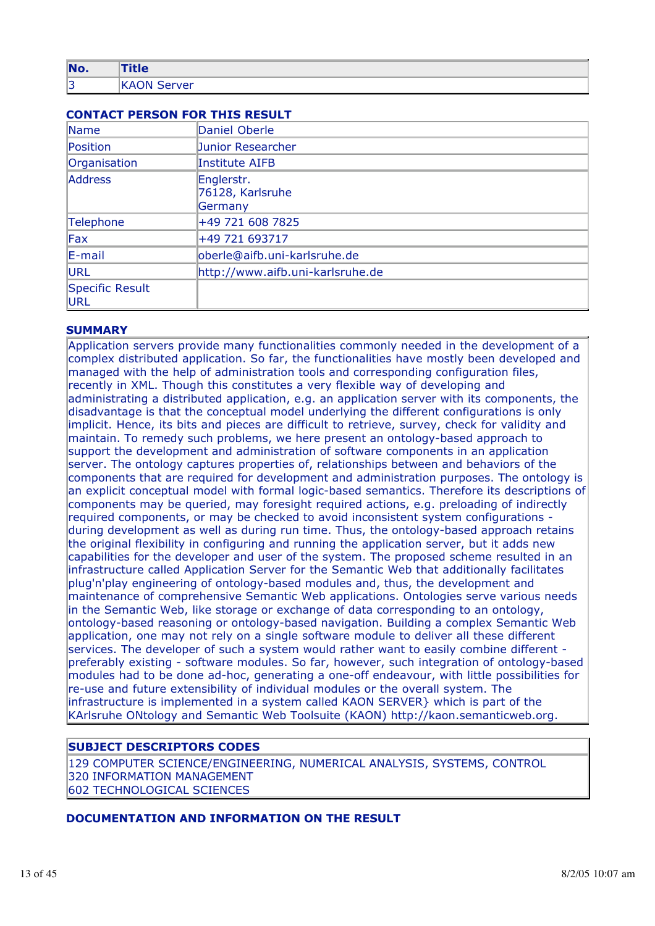| No.      | Tuc                     |
|----------|-------------------------|
| ן 2<br>◡ | . ver<br>DN.<br>µ۵<br>. |

# **CONTACT PERSON FOR THIS RESULT** Name Daniel Oberle

|                                | טוווטו טטעוונ                             |
|--------------------------------|-------------------------------------------|
| Position                       | Junior Researcher                         |
| Organisation                   | <b>Institute AIFB</b>                     |
| <b>Address</b>                 | Englerstr.<br>76128, Karlsruhe<br>Germany |
| Telephone                      | +49 721 608 7825                          |
| Fax                            | +49 721 693717                            |
| $E$ -mail                      | oberle@aifb.uni-karlsruhe.de              |
| <b>IURL</b>                    | http://www.aifb.uni-karlsruhe.de          |
| Specific Result<br><b>IURL</b> |                                           |

# **SUMMARY**

Application servers provide many functionalities commonly needed in the development of a complex distributed application. So far, the functionalities have mostly been developed and managed with the help of administration tools and corresponding configuration files, recently in XML. Though this constitutes a very flexible way of developing and administrating a distributed application, e.g. an application server with its components, the disadvantage is that the conceptual model underlying the different configurations is only implicit. Hence, its bits and pieces are difficult to retrieve, survey, check for validity and maintain. To remedy such problems, we here present an ontology-based approach to support the development and administration of software components in an application server. The ontology captures properties of, relationships between and behaviors of the components that are required for development and administration purposes. The ontology is an explicit conceptual model with formal logic-based semantics. Therefore its descriptions of components may be queried, may foresight required actions, e.g. preloading of indirectly required components, or may be checked to avoid inconsistent system configurations during development as well as during run time. Thus, the ontology-based approach retains the original flexibility in configuring and running the application server, but it adds new capabilities for the developer and user of the system. The proposed scheme resulted in an infrastructure called Application Server for the Semantic Web that additionally facilitates plug'n'play engineering of ontology-based modules and, thus, the development and maintenance of comprehensive Semantic Web applications. Ontologies serve various needs in the Semantic Web, like storage or exchange of data corresponding to an ontology, ontology-based reasoning or ontology-based navigation. Building a complex Semantic Web application, one may not rely on a single software module to deliver all these different services. The developer of such a system would rather want to easily combine different preferably existing - software modules. So far, however, such integration of ontology-based modules had to be done ad-hoc, generating a one-off endeavour, with little possibilities for re-use and future extensibility of individual modules or the overall system. The infrastructure is implemented in a system called KAON SERVER} which is part of the KArlsruhe ONtology and Semantic Web Toolsuite (KAON) http://kaon.semanticweb.org.

# **SUBJECT DESCRIPTORS CODES**

129 COMPUTER SCIENCE/ENGINEERING, NUMERICAL ANALYSIS, SYSTEMS, CONTROL 320 INFORMATION MANAGEMENT 602 TECHNOLOGICAL SCIENCES

# **DOCUMENTATION AND INFORMATION ON THE RESULT**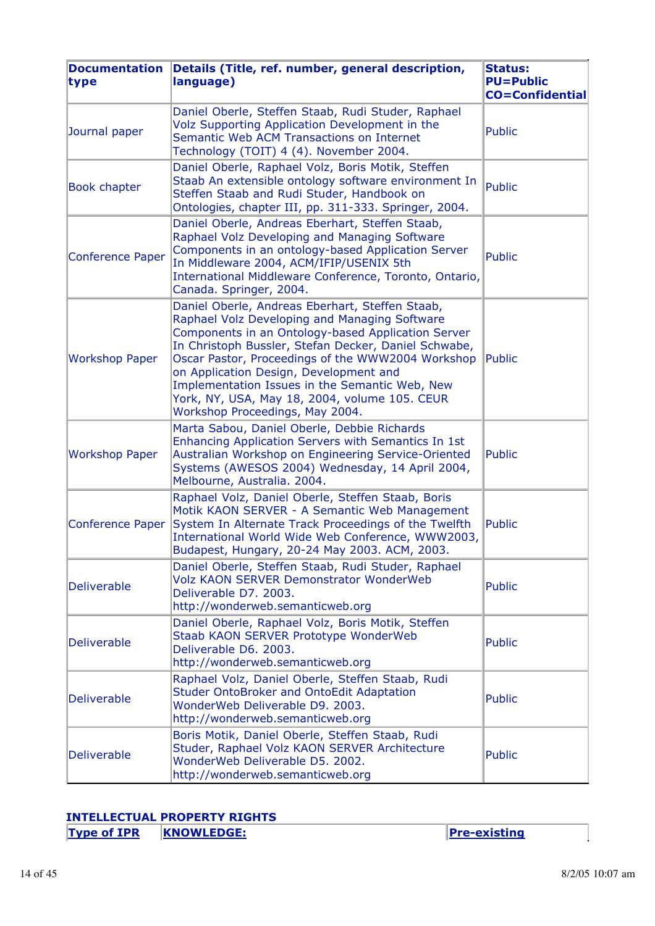| <b>Documentation</b><br>type | Details (Title, ref. number, general description,<br>language)                                                                                                                                                                                                                                                                                                                                                                                      | <b>Status:</b><br><b>PU=Public</b><br><b>CO=Confidential</b> |
|------------------------------|-----------------------------------------------------------------------------------------------------------------------------------------------------------------------------------------------------------------------------------------------------------------------------------------------------------------------------------------------------------------------------------------------------------------------------------------------------|--------------------------------------------------------------|
| Journal paper                | Daniel Oberle, Steffen Staab, Rudi Studer, Raphael<br>Volz Supporting Application Development in the<br><b>Semantic Web ACM Transactions on Internet</b><br>Technology (TOIT) 4 (4). November 2004.                                                                                                                                                                                                                                                 | <b>Public</b>                                                |
| <b>Book chapter</b>          | Daniel Oberle, Raphael Volz, Boris Motik, Steffen<br>Staab An extensible ontology software environment In<br>Steffen Staab and Rudi Studer, Handbook on<br>Ontologies, chapter III, pp. 311-333. Springer, 2004.                                                                                                                                                                                                                                    | <b>Public</b>                                                |
| Conference Paper             | Daniel Oberle, Andreas Eberhart, Steffen Staab,<br>Raphael Volz Developing and Managing Software<br>Components in an ontology-based Application Server<br>In Middleware 2004, ACM/IFIP/USENIX 5th<br>International Middleware Conference, Toronto, Ontario,<br>Canada. Springer, 2004.                                                                                                                                                              | <b>Public</b>                                                |
| <b>Workshop Paper</b>        | Daniel Oberle, Andreas Eberhart, Steffen Staab,<br>Raphael Volz Developing and Managing Software<br>Components in an Ontology-based Application Server<br>In Christoph Bussler, Stefan Decker, Daniel Schwabe,<br>Oscar Pastor, Proceedings of the WWW2004 Workshop<br>on Application Design, Development and<br>Implementation Issues in the Semantic Web, New<br>York, NY, USA, May 18, 2004, volume 105. CEUR<br>Workshop Proceedings, May 2004. | <b>Public</b>                                                |
| <b>Workshop Paper</b>        | Marta Sabou, Daniel Oberle, Debbie Richards<br>Enhancing Application Servers with Semantics In 1st<br>Australian Workshop on Engineering Service-Oriented<br>Systems (AWESOS 2004) Wednesday, 14 April 2004,<br>Melbourne, Australia. 2004.                                                                                                                                                                                                         | <b>Public</b>                                                |
| Conference Paper             | Raphael Volz, Daniel Oberle, Steffen Staab, Boris<br>Motik KAON SERVER - A Semantic Web Management<br>System In Alternate Track Proceedings of the Twelfth<br>International World Wide Web Conference, WWW2003,<br>Budapest, Hungary, 20-24 May 2003. ACM, 2003.                                                                                                                                                                                    | <b>Public</b>                                                |
| Deliverable                  | Daniel Oberle, Steffen Staab, Rudi Studer, Raphael<br><b>Volz KAON SERVER Demonstrator WonderWeb</b><br>Deliverable D7, 2003.<br>http://wonderweb.semanticweb.org                                                                                                                                                                                                                                                                                   | <b>Public</b>                                                |
| Deliverable                  | Daniel Oberle, Raphael Volz, Boris Motik, Steffen<br>Staab KAON SERVER Prototype WonderWeb<br>Deliverable D6. 2003.<br>http://wonderweb.semanticweb.org                                                                                                                                                                                                                                                                                             | <b>Public</b>                                                |
| Deliverable                  | Raphael Volz, Daniel Oberle, Steffen Staab, Rudi<br><b>Studer OntoBroker and OntoEdit Adaptation</b><br>WonderWeb Deliverable D9. 2003.<br>http://wonderweb.semanticweb.org                                                                                                                                                                                                                                                                         | <b>Public</b>                                                |
| Deliverable                  | Boris Motik, Daniel Oberle, Steffen Staab, Rudi<br>Studer, Raphael Volz KAON SERVER Architecture<br>WonderWeb Deliverable D5. 2002.<br>http://wonderweb.semanticweb.org                                                                                                                                                                                                                                                                             | <b>Public</b>                                                |

# **INTELLECTUAL PROPERTY RIGHTS**

**Type of IPR KNOWLEDGE: Pre-existing**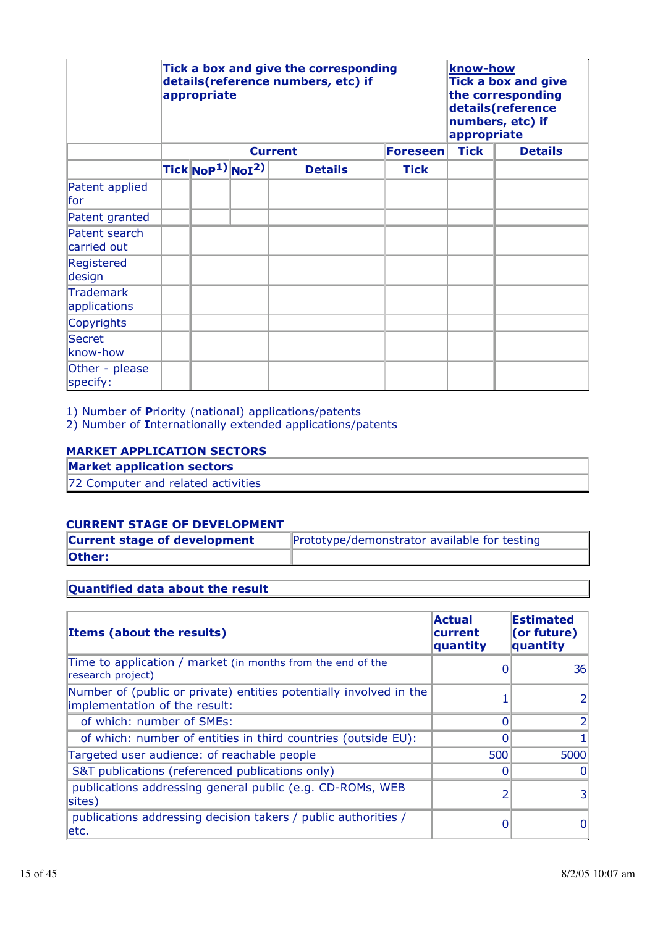|                              | Tick a box and give the corresponding<br>details(reference numbers, etc) if<br>appropriate |                                         |                |                |                 | know-how<br><b>Tick a box and give</b><br>the corresponding<br>details (reference<br>numbers, etc) if<br>appropriate |                |
|------------------------------|--------------------------------------------------------------------------------------------|-----------------------------------------|----------------|----------------|-----------------|----------------------------------------------------------------------------------------------------------------------|----------------|
|                              |                                                                                            |                                         | <b>Current</b> |                | <b>Foreseen</b> | <b>Tick</b>                                                                                                          | <b>Details</b> |
|                              |                                                                                            | Tick NOP <sup>1</sup>  NOP <sup>2</sup> |                | <b>Details</b> | <b>Tick</b>     |                                                                                                                      |                |
| Patent applied<br>lfor       |                                                                                            |                                         |                |                |                 |                                                                                                                      |                |
| Patent granted               |                                                                                            |                                         |                |                |                 |                                                                                                                      |                |
| Patent search<br>carried out |                                                                                            |                                         |                |                |                 |                                                                                                                      |                |
| Registered<br>design         |                                                                                            |                                         |                |                |                 |                                                                                                                      |                |
| Trademark<br>applications    |                                                                                            |                                         |                |                |                 |                                                                                                                      |                |
| Copyrights                   |                                                                                            |                                         |                |                |                 |                                                                                                                      |                |
| Secret<br>know-how           |                                                                                            |                                         |                |                |                 |                                                                                                                      |                |
| Other - please<br>specify:   |                                                                                            |                                         |                |                |                 |                                                                                                                      |                |

1) Number of **P**riority (national) applications/patents

2) Number of **I**nternationally extended applications/patents

# **MARKET APPLICATION SECTORS**

# **Market application sectors**

72 Computer and related activities

### **CURRENT STAGE OF DEVELOPMENT**

| <b>Current stage of development</b> | Prototype/demonstrator available for testing |  |  |
|-------------------------------------|----------------------------------------------|--|--|
| <b>Other:</b>                       |                                              |  |  |

# **Quantified data about the result**

| <b>Items (about the results)</b>                                                                    | <b>Actual</b><br>current<br>quantity | <b>Estimated</b><br>(or future)<br>quantity |
|-----------------------------------------------------------------------------------------------------|--------------------------------------|---------------------------------------------|
| Time to application / market (in months from the end of the<br>research project)                    |                                      | 36                                          |
| Number of (public or private) entities potentially involved in the<br>implementation of the result: |                                      |                                             |
| of which: number of SMEs:                                                                           |                                      |                                             |
| of which: number of entities in third countries (outside EU):                                       |                                      |                                             |
| Targeted user audience: of reachable people                                                         | 500                                  | 5000                                        |
| S&T publications (referenced publications only)                                                     |                                      | $\Omega$                                    |
| publications addressing general public (e.g. CD-ROMs, WEB<br>sites)                                 |                                      | 3                                           |
| publications addressing decision takers / public authorities /<br>letc.                             |                                      | O                                           |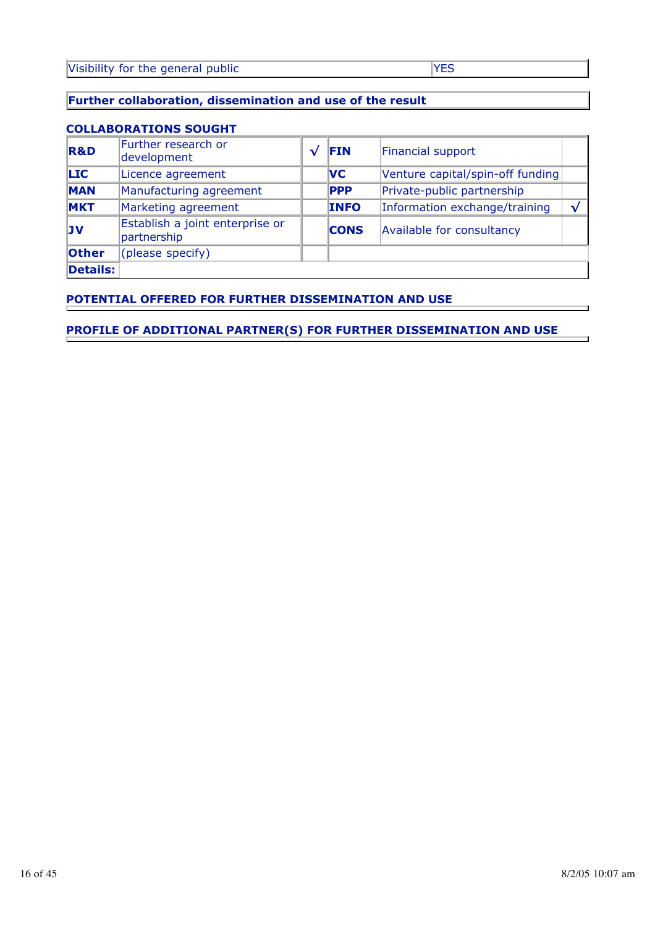# **Further collaboration, dissemination and use of the result**

### **COLLABORATIONS SOUGHT**

| <b>R&amp;D</b>  | Further research or<br>development             | <b>FIN</b>  | Financial support                |   |
|-----------------|------------------------------------------------|-------------|----------------------------------|---|
| <b>LIC</b>      | Licence agreement                              | <b>NC</b>   | Venture capital/spin-off funding |   |
| <b>MAN</b>      | Manufacturing agreement                        | <b>PPP</b>  | Private-public partnership       |   |
| <b>MKT</b>      | Marketing agreement                            | <b>INFO</b> | Information exchange/training    | Ñ |
| IJν             | Establish a joint enterprise or<br>partnership | <b>CONS</b> | Available for consultancy        |   |
| <b>Other</b>    | ( $please$ specify)                            |             |                                  |   |
| <b>Details:</b> |                                                |             |                                  |   |

### **POTENTIAL OFFERED FOR FURTHER DISSEMINATION AND USE**

### **PROFILE OF ADDITIONAL PARTNER(S) FOR FURTHER DISSEMINATION AND USE**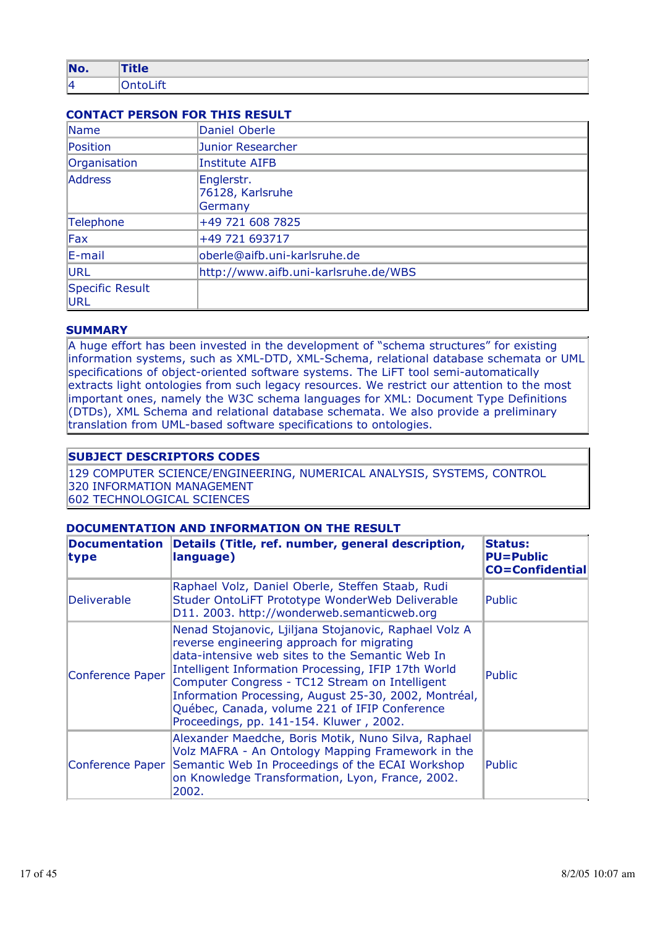| No. |  |
|-----|--|
| 14  |  |

| Name                          | <b>Daniel Oberle</b>                      |
|-------------------------------|-------------------------------------------|
| Position                      | <b>Junior Researcher</b>                  |
| Organisation                  | <b>Institute AIFB</b>                     |
| <b>Address</b>                | Englerstr.<br>76128, Karlsruhe<br>Germany |
| Telephone                     | +49 721 608 7825                          |
| Fax                           | +49 721 693717                            |
| $E$ -mail                     | oberle@aifb.uni-karlsruhe.de              |
| <b>URL</b>                    | http://www.aifb.uni-karlsruhe.de/WBS      |
| Specific Result<br><b>URL</b> |                                           |

#### **SUMMARY**

A huge effort has been invested in the development of "schema structures" for existing information systems, such as XML-DTD, XML-Schema, relational database schemata or UML specifications of object-oriented software systems. The LiFT tool semi-automatically extracts light ontologies from such legacy resources. We restrict our attention to the most important ones, namely the W3C schema languages for XML: Document Type Definitions (DTDs), XML Schema and relational database schemata. We also provide a preliminary translation from UML-based software specifications to ontologies.

#### **SUBJECT DESCRIPTORS CODES**

129 COMPUTER SCIENCE/ENGINEERING, NUMERICAL ANALYSIS, SYSTEMS, CONTROL 320 INFORMATION MANAGEMENT 602 TECHNOLOGICAL SCIENCES

#### **DOCUMENTATION AND INFORMATION ON THE RESULT**

| <b>Documentation</b><br>type | Details (Title, ref. number, general description,<br>language)                                                                                                                                                                                                                                                                                                                                                       | <b>Status:</b><br><b>PU=Public</b><br><b>CO=Confidential</b> |
|------------------------------|----------------------------------------------------------------------------------------------------------------------------------------------------------------------------------------------------------------------------------------------------------------------------------------------------------------------------------------------------------------------------------------------------------------------|--------------------------------------------------------------|
| Deliverable                  | Raphael Volz, Daniel Oberle, Steffen Staab, Rudi<br>Studer OntoLiFT Prototype WonderWeb Deliverable<br>D11. 2003. http://wonderweb.semanticweb.org                                                                                                                                                                                                                                                                   | <b>Public</b>                                                |
| Conference Paper             | Nenad Stojanovic, Ljiljana Stojanovic, Raphael Volz A<br>reverse engineering approach for migrating<br>data-intensive web sites to the Semantic Web In<br>Intelligent Information Processing, IFIP 17th World<br>Computer Congress - TC12 Stream on Intelligent<br>Information Processing, August 25-30, 2002, Montréal,<br>Québec, Canada, volume 221 of IFIP Conference<br>Proceedings, pp. 141-154. Kluwer, 2002. | <b>Public</b>                                                |
| Conference Paper             | Alexander Maedche, Boris Motik, Nuno Silva, Raphael<br>Volz MAFRA - An Ontology Mapping Framework in the<br>Semantic Web In Proceedings of the ECAI Workshop<br>on Knowledge Transformation, Lyon, France, 2002.<br>2002.                                                                                                                                                                                            | <b>Public</b>                                                |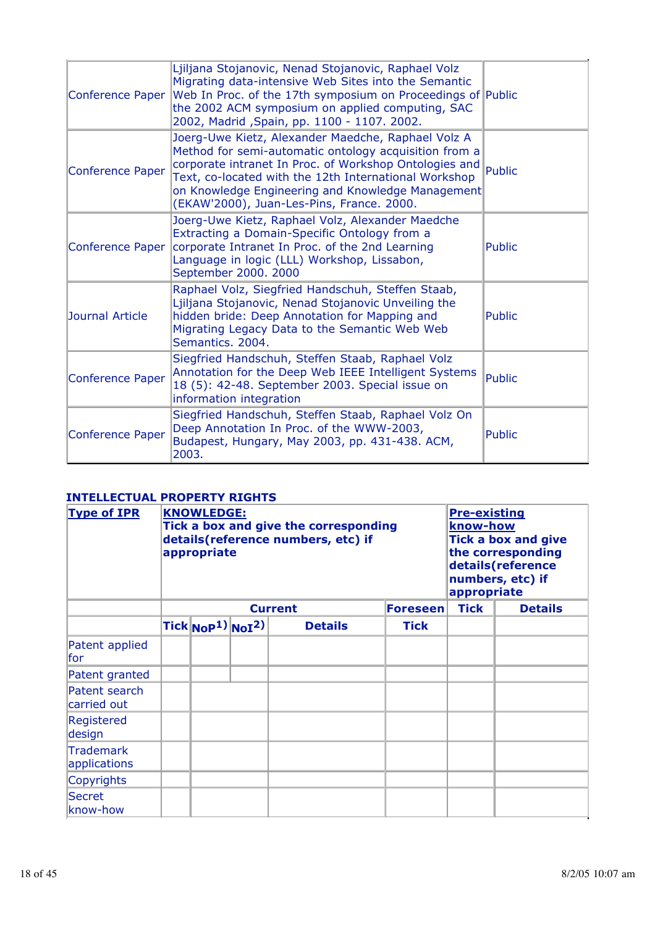| Conference Paper       | Ljiljana Stojanovic, Nenad Stojanovic, Raphael Volz<br>Migrating data-intensive Web Sites into the Semantic<br>Web In Proc. of the 17th symposium on Proceedings of Public<br>the 2002 ACM symposium on applied computing, SAC<br>2002, Madrid , Spain, pp. 1100 - 1107. 2002.                                                   |               |
|------------------------|----------------------------------------------------------------------------------------------------------------------------------------------------------------------------------------------------------------------------------------------------------------------------------------------------------------------------------|---------------|
| Conference Paper       | Joerg-Uwe Kietz, Alexander Maedche, Raphael Volz A<br>Method for semi-automatic ontology acquisition from a<br>corporate intranet In Proc. of Workshop Ontologies and<br>Text, co-located with the 12th International Workshop<br>on Knowledge Engineering and Knowledge Management<br>(EKAW'2000), Juan-Les-Pins, France. 2000. | <b>Public</b> |
| Conference Paper       | Joerg-Uwe Kietz, Raphael Volz, Alexander Maedche<br>Extracting a Domain-Specific Ontology from a<br>corporate Intranet In Proc. of the 2nd Learning<br>Language in logic (LLL) Workshop, Lissabon,<br>September 2000. 2000                                                                                                       | <b>Public</b> |
| <b>Journal Article</b> | Raphael Volz, Siegfried Handschuh, Steffen Staab,<br>Ljiljana Stojanovic, Nenad Stojanovic Unveiling the<br>hidden bride: Deep Annotation for Mapping and<br>Migrating Legacy Data to the Semantic Web Web<br>Semantics, 2004.                                                                                                   | <b>Public</b> |
| Conference Paper       | Siegfried Handschuh, Steffen Staab, Raphael Volz<br>Annotation for the Deep Web IEEE Intelligent Systems<br>18 (5): 42-48. September 2003. Special issue on<br>information integration                                                                                                                                           | <b>Public</b> |
| Conference Paper       | Siegfried Handschuh, Steffen Staab, Raphael Volz On<br>Deep Annotation In Proc. of the WWW-2003,<br>Budapest, Hungary, May 2003, pp. 431-438. ACM,<br>2003.                                                                                                                                                                      | <b>Public</b> |

# **INTELLECTUAL PROPERTY RIGHTS**

| <b>Type of IPR</b>           | <b>KNOWLEDGE:</b><br>Tick a box and give the corresponding<br>details(reference numbers, etc) if<br>appropriate |                                         |                |                |                 |             | <b>Pre-existing</b><br>know-how<br><b>Tick a box and give</b><br>the corresponding<br>details (reference<br>numbers, etc) if<br>appropriate |  |  |
|------------------------------|-----------------------------------------------------------------------------------------------------------------|-----------------------------------------|----------------|----------------|-----------------|-------------|---------------------------------------------------------------------------------------------------------------------------------------------|--|--|
|                              |                                                                                                                 |                                         | <b>Current</b> |                | <b>Foreseen</b> | <b>Tick</b> | <b>Details</b>                                                                                                                              |  |  |
|                              |                                                                                                                 | Tick NOP <sup>1</sup>  NOP <sup>2</sup> |                | <b>Details</b> | <b>Tick</b>     |             |                                                                                                                                             |  |  |
| Patent applied<br>lfor       |                                                                                                                 |                                         |                |                |                 |             |                                                                                                                                             |  |  |
| Patent granted               |                                                                                                                 |                                         |                |                |                 |             |                                                                                                                                             |  |  |
| Patent search<br>carried out |                                                                                                                 |                                         |                |                |                 |             |                                                                                                                                             |  |  |
| Registered<br>design         |                                                                                                                 |                                         |                |                |                 |             |                                                                                                                                             |  |  |
| Trademark<br>applications    |                                                                                                                 |                                         |                |                |                 |             |                                                                                                                                             |  |  |
| Copyrights                   |                                                                                                                 |                                         |                |                |                 |             |                                                                                                                                             |  |  |
| Secret<br>know-how           |                                                                                                                 |                                         |                |                |                 |             |                                                                                                                                             |  |  |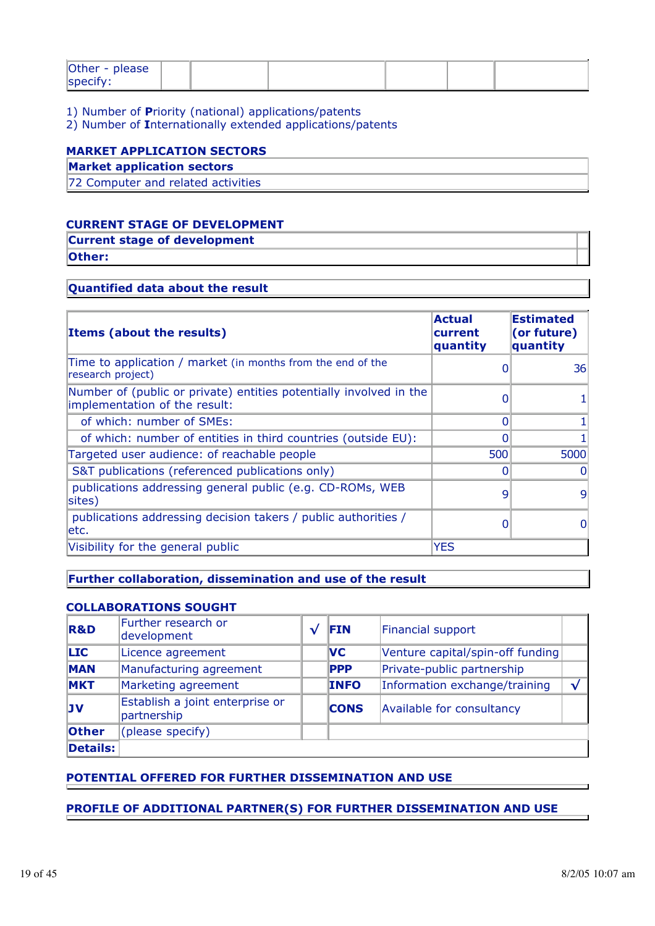| Other - please |  |  |  |
|----------------|--|--|--|
| specify:       |  |  |  |

### 1) Number of **P**riority (national) applications/patents

2) Number of **I**nternationally extended applications/patents

### **MARKET APPLICATION SECTORS**

#### **Market application sectors**

72 Computer and related activities

### **CURRENT STAGE OF DEVELOPMENT**

# **Current stage of development**

**Other:**

### **Quantified data about the result**

| <b>Items (about the results)</b>                                                                    | <b>Actual</b><br>current<br>quantity | <b>Estimated</b><br>(or future)<br>quantity |
|-----------------------------------------------------------------------------------------------------|--------------------------------------|---------------------------------------------|
| Time to application / market (in months from the end of the<br>research project)                    |                                      | 36                                          |
| Number of (public or private) entities potentially involved in the<br>implementation of the result: |                                      |                                             |
| of which: number of SMEs:                                                                           | ი                                    |                                             |
| of which: number of entities in third countries (outside EU):                                       |                                      |                                             |
| Targeted user audience: of reachable people                                                         | 500                                  | 5000                                        |
| S&T publications (referenced publications only)                                                     |                                      |                                             |
| publications addressing general public (e.g. CD-ROMs, WEB<br>sites)                                 | 9                                    | 9                                           |
| publications addressing decision takers / public authorities /<br>letc.                             |                                      |                                             |
| Visibility for the general public                                                                   | <b>YES</b>                           |                                             |

# **Further collaboration, dissemination and use of the result**

### **COLLABORATIONS SOUGHT**

| <b>R&amp;D</b> | Further research or<br>development             | <b>FIN</b>  | Financial support                |            |
|----------------|------------------------------------------------|-------------|----------------------------------|------------|
| <b>LIC</b>     | Licence agreement                              | <b>NC</b>   | Venture capital/spin-off funding |            |
| <b>MAN</b>     | Manufacturing agreement                        | <b>PPP</b>  | Private-public partnership       |            |
| <b>MKT</b>     | Marketing agreement                            | <b>INFO</b> | Information exchange/training    | $\sqrt{ }$ |
| IJν            | Establish a joint enterprise or<br>partnership | <b>CONS</b> | Available for consultancy        |            |
| <b>Other</b>   | (please specify)                               |             |                                  |            |
| Details:       |                                                |             |                                  |            |

# **POTENTIAL OFFERED FOR FURTHER DISSEMINATION AND USE**

### **PROFILE OF ADDITIONAL PARTNER(S) FOR FURTHER DISSEMINATION AND USE**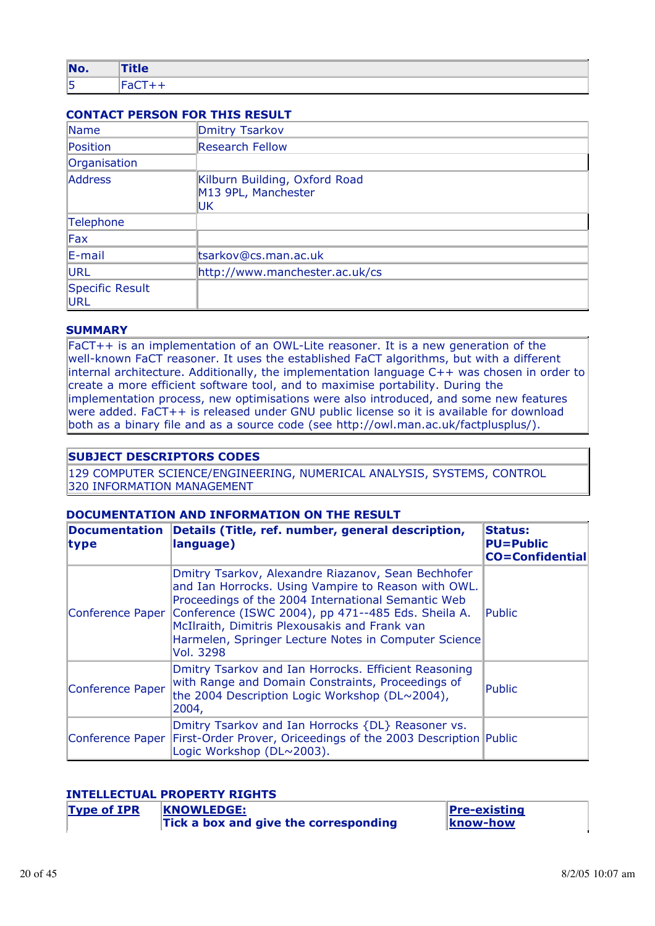| No. | <u>.</u> |
|-----|----------|
| 15  | $F - C$  |

| Name                   | <b>Dmitry Tsarkov</b>                                       |
|------------------------|-------------------------------------------------------------|
| Position               | <b>Research Fellow</b>                                      |
| Organisation           |                                                             |
| Address                | Kilburn Building, Oxford Road<br>M13 9PL, Manchester<br>IJΚ |
| Telephone              |                                                             |
| $\mathsf{Fax}$         |                                                             |
| <b>IE-mail</b>         | tsarkov@cs.man.ac.uk                                        |
| <b>URL</b>             | http://www.manchester.ac.uk/cs                              |
| Specific Result<br>URL |                                                             |

#### **SUMMARY**

FaCT++ is an implementation of an OWL-Lite reasoner. It is a new generation of the well-known FaCT reasoner. It uses the established FaCT algorithms, but with a different internal architecture. Additionally, the implementation language C++ was chosen in order to create a more efficient software tool, and to maximise portability. During the implementation process, new optimisations were also introduced, and some new features were added. FaCT++ is released under GNU public license so it is available for download both as a binary file and as a source code (see http://owl.man.ac.uk/factplusplus/).

#### **SUBJECT DESCRIPTORS CODES**

129 COMPUTER SCIENCE/ENGINEERING, NUMERICAL ANALYSIS, SYSTEMS, CONTROL 320 INFORMATION MANAGEMENT

### **DOCUMENTATION AND INFORMATION ON THE RESULT**

| <b>Documentation</b><br>${type}$ | Details (Title, ref. number, general description,<br>language)                                                                                                                                                                                                                                                                                               | <b>Status:</b><br><b>PU=Public</b><br><b>CO=Confidential</b> |
|----------------------------------|--------------------------------------------------------------------------------------------------------------------------------------------------------------------------------------------------------------------------------------------------------------------------------------------------------------------------------------------------------------|--------------------------------------------------------------|
|                                  | Dmitry Tsarkov, Alexandre Riazanov, Sean Bechhofer<br>and Ian Horrocks. Using Vampire to Reason with OWL.<br>Proceedings of the 2004 International Semantic Web<br>Conference Paper Conference (ISWC 2004), pp 471--485 Eds. Sheila A.<br>McIlraith, Dimitris Plexousakis and Frank van<br>Harmelen, Springer Lecture Notes in Computer Science<br>Vol. 3298 | <b>Public</b>                                                |
| Conference Paper                 | Dmitry Tsarkov and Ian Horrocks. Efficient Reasoning<br>with Range and Domain Constraints, Proceedings of<br>the 2004 Description Logic Workshop (DL~2004),<br>2004,                                                                                                                                                                                         | <b>Public</b>                                                |
|                                  | Dmitry Tsarkov and Ian Horrocks {DL} Reasoner vs.<br>Conference Paper First-Order Prover, Oriceedings of the 2003 Description Public<br>Logic Workshop (DL~2003).                                                                                                                                                                                            |                                                              |

### **INTELLECTUAL PROPERTY RIGHTS**

| <b>Type of IPR</b> | <b>KNOWLEDGE:</b>                     | $Pre-existing$  |
|--------------------|---------------------------------------|-----------------|
|                    | Tick a box and give the corresponding | <b>know-how</b> |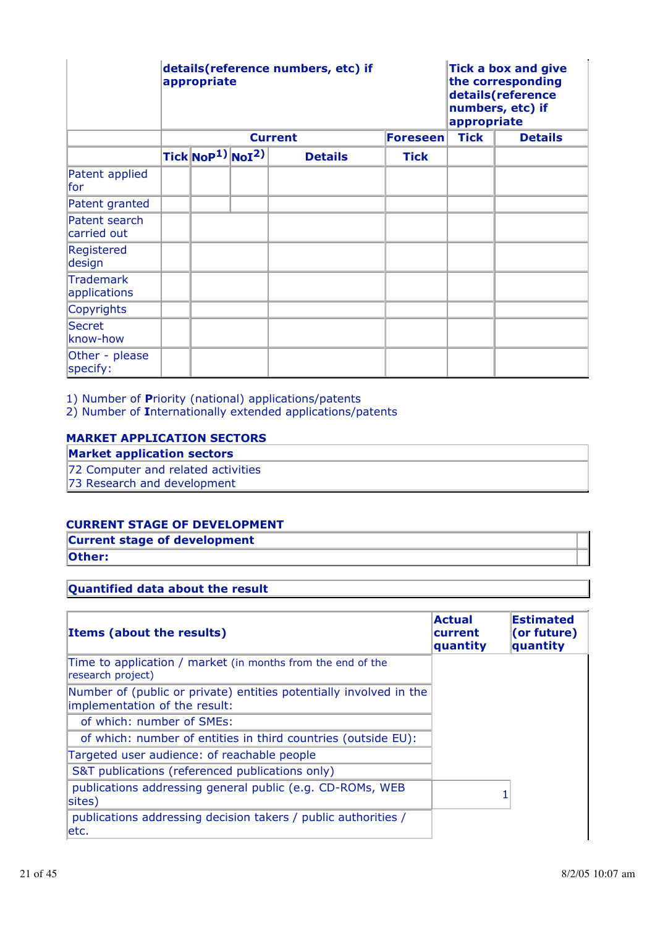|                                  | details(reference numbers, etc) if<br>appropriate |                |                |                 |             | <b>Tick a box and give</b><br>the corresponding<br>details(reference<br>numbers, etc) if<br>appropriate |  |
|----------------------------------|---------------------------------------------------|----------------|----------------|-----------------|-------------|---------------------------------------------------------------------------------------------------------|--|
|                                  |                                                   | <b>Current</b> |                | <b>Foreseen</b> | <b>Tick</b> | <b>Details</b>                                                                                          |  |
|                                  | Tick NOP <sup>1</sup>  NOP <sup>2</sup>           |                | <b>Details</b> | <b>Tick</b>     |             |                                                                                                         |  |
| Patent applied<br>for            |                                                   |                |                |                 |             |                                                                                                         |  |
| Patent granted                   |                                                   |                |                |                 |             |                                                                                                         |  |
| Patent search<br>carried out     |                                                   |                |                |                 |             |                                                                                                         |  |
| Registered<br>design             |                                                   |                |                |                 |             |                                                                                                         |  |
| <b>Trademark</b><br>applications |                                                   |                |                |                 |             |                                                                                                         |  |
| Copyrights                       |                                                   |                |                |                 |             |                                                                                                         |  |
| <b>Secret</b><br>know-how        |                                                   |                |                |                 |             |                                                                                                         |  |
| Other - please<br>specify:       |                                                   |                |                |                 |             |                                                                                                         |  |

1) Number of **P**riority (national) applications/patents

2) Number of **I**nternationally extended applications/patents

### **MARKET APPLICATION SECTORS**

**Market application sectors**

72 Computer and related activities

73 Research and development

# **CURRENT STAGE OF DEVELOPMENT**

**Current stage of development Other:**

**Quantified data about the result** 

| <b>Items (about the results)</b>                                                                    | <b>Actual</b><br>current<br>quantity | <b>Estimated</b><br>(or future)<br>quantity |
|-----------------------------------------------------------------------------------------------------|--------------------------------------|---------------------------------------------|
| Time to application / market (in months from the end of the<br>research project)                    |                                      |                                             |
| Number of (public or private) entities potentially involved in the<br>implementation of the result: |                                      |                                             |
| of which: number of SMEs:                                                                           |                                      |                                             |
| of which: number of entities in third countries (outside EU):                                       |                                      |                                             |
| Targeted user audience: of reachable people                                                         |                                      |                                             |
| S&T publications (referenced publications only)                                                     |                                      |                                             |
| publications addressing general public (e.g. CD-ROMs, WEB<br>sites)                                 |                                      |                                             |
| publications addressing decision takers / public authorities /<br>letc.                             |                                      |                                             |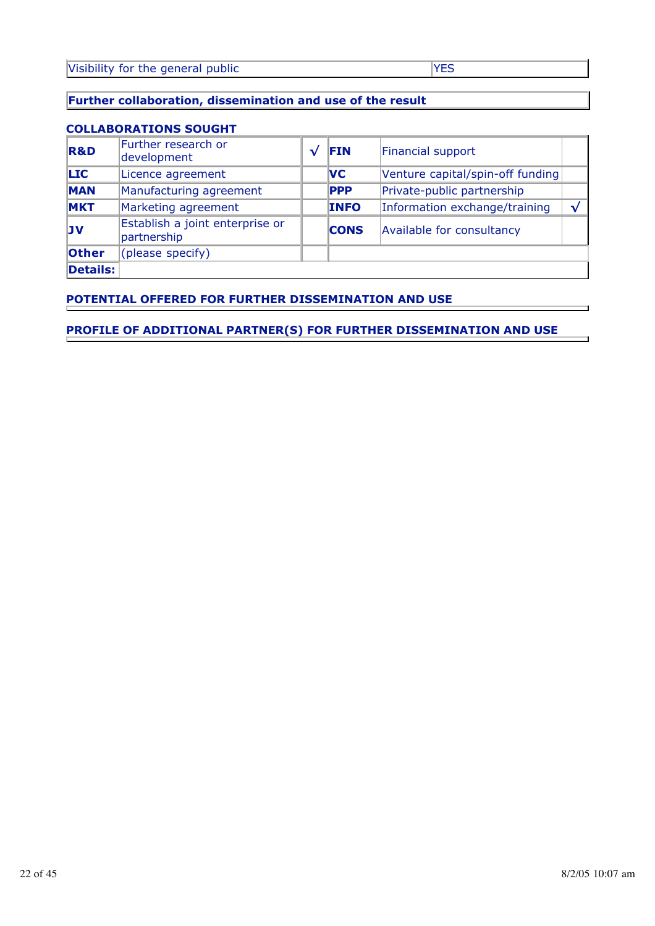# **Further collaboration, dissemination and use of the result**

### **COLLABORATIONS SOUGHT**

| <b>R&amp;D</b>  | Further research or<br>development             | <b>FIN</b>  | Financial support                |   |
|-----------------|------------------------------------------------|-------------|----------------------------------|---|
| <b>LIC</b>      | Licence agreement                              | <b>NC</b>   | Venture capital/spin-off funding |   |
| <b>MAN</b>      | Manufacturing agreement                        | <b>PPP</b>  | Private-public partnership       |   |
| <b>MKT</b>      | Marketing agreement                            | <b>INFO</b> | Information exchange/training    | Ñ |
| IJν             | Establish a joint enterprise or<br>partnership | <b>CONS</b> | Available for consultancy        |   |
| <b>Other</b>    | (please specify)                               |             |                                  |   |
| <b>Details:</b> |                                                |             |                                  |   |

### **POTENTIAL OFFERED FOR FURTHER DISSEMINATION AND USE**

### **PROFILE OF ADDITIONAL PARTNER(S) FOR FURTHER DISSEMINATION AND USE**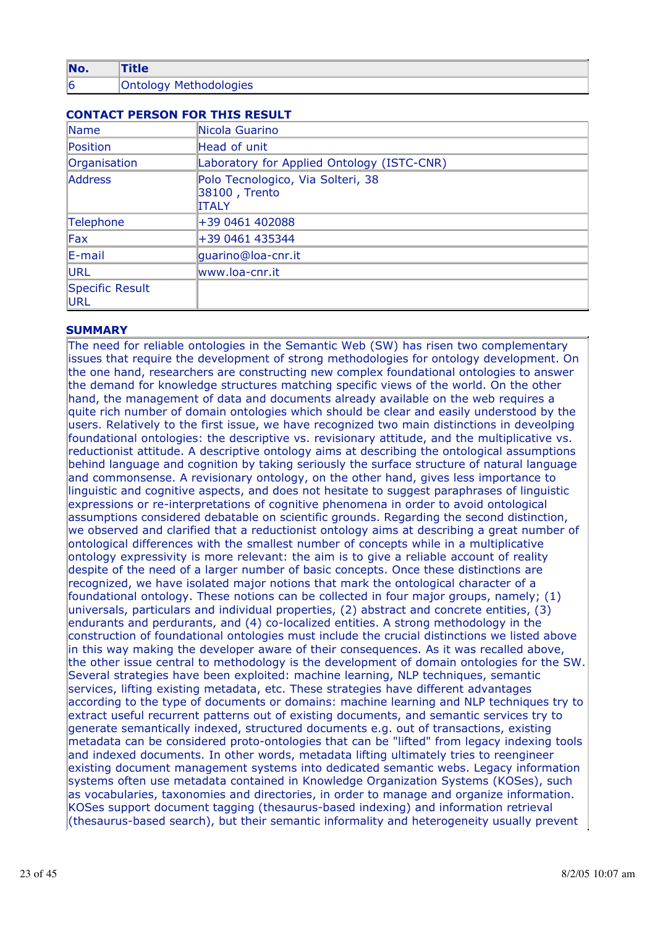| No. | <b>Title</b>           |
|-----|------------------------|
| 6   | Ontology Methodologies |

| <b>Name</b>                   | Nicola Guarino                                              |
|-------------------------------|-------------------------------------------------------------|
| Position                      | Head of unit                                                |
| Organisation                  | Laboratory for Applied Ontology (ISTC-CNR)                  |
| <b>Address</b>                | Polo Tecnologico, Via Solteri, 38<br>38100, Trento<br>ITALY |
| Telephone                     | +39 0461 402088                                             |
| $\mathsf{Fax}$                | +39 0461 435344                                             |
| <b>IE-mail</b>                | quarino@loa-cnr.it                                          |
| <b>URL</b>                    | www.loa-cnr.it                                              |
| Specific Result<br><b>URL</b> |                                                             |

#### **SUMMARY**

The need for reliable ontologies in the Semantic Web (SW) has risen two complementary issues that require the development of strong methodologies for ontology development. On the one hand, researchers are constructing new complex foundational ontologies to answer the demand for knowledge structures matching specific views of the world. On the other hand, the management of data and documents already available on the web requires a quite rich number of domain ontologies which should be clear and easily understood by the users. Relatively to the first issue, we have recognized two main distinctions in deveolping foundational ontologies: the descriptive vs. revisionary attitude, and the multiplicative vs. reductionist attitude. A descriptive ontology aims at describing the ontological assumptions behind language and cognition by taking seriously the surface structure of natural language and commonsense. A revisionary ontology, on the other hand, gives less importance to linguistic and cognitive aspects, and does not hesitate to suggest paraphrases of linguistic expressions or re-interpretations of cognitive phenomena in order to avoid ontological assumptions considered debatable on scientific grounds. Regarding the second distinction, we observed and clarified that a reductionist ontology aims at describing a great number of ontological differences with the smallest number of concepts while in a multiplicative ontology expressivity is more relevant: the aim is to give a reliable account of reality despite of the need of a larger number of basic concepts. Once these distinctions are recognized, we have isolated major notions that mark the ontological character of a foundational ontology. These notions can be collected in four major groups, namely; (1) universals, particulars and individual properties, (2) abstract and concrete entities, (3) endurants and perdurants, and (4) co-localized entities. A strong methodology in the construction of foundational ontologies must include the crucial distinctions we listed above in this way making the developer aware of their consequences. As it was recalled above, the other issue central to methodology is the development of domain ontologies for the SW. Several strategies have been exploited: machine learning, NLP techniques, semantic services, lifting existing metadata, etc. These strategies have different advantages according to the type of documents or domains: machine learning and NLP techniques try to extract useful recurrent patterns out of existing documents, and semantic services try to generate semantically indexed, structured documents e.g. out of transactions, existing metadata can be considered proto-ontologies that can be "lifted" from legacy indexing tools and indexed documents. In other words, metadata lifting ultimately tries to reengineer existing document management systems into dedicated semantic webs. Legacy information systems often use metadata contained in Knowledge Organization Systems (KOSes), such as vocabularies, taxonomies and directories, in order to manage and organize information. KOSes support document tagging (thesaurus-based indexing) and information retrieval (thesaurus-based search), but their semantic informality and heterogeneity usually prevent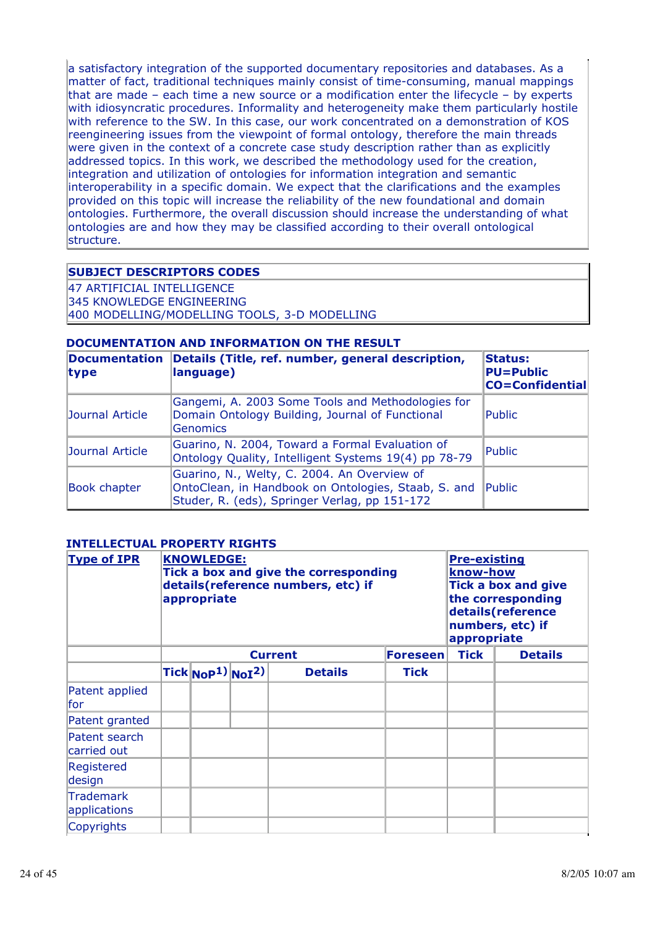a satisfactory integration of the supported documentary repositories and databases. As a matter of fact, traditional techniques mainly consist of time-consuming, manual mappings that are made – each time a new source or a modification enter the lifecycle – by experts with idiosyncratic procedures. Informality and heterogeneity make them particularly hostile with reference to the SW. In this case, our work concentrated on a demonstration of KOS reengineering issues from the viewpoint of formal ontology, therefore the main threads were given in the context of a concrete case study description rather than as explicitly addressed topics. In this work, we described the methodology used for the creation, integration and utilization of ontologies for information integration and semantic interoperability in a specific domain. We expect that the clarifications and the examples provided on this topic will increase the reliability of the new foundational and domain ontologies. Furthermore, the overall discussion should increase the understanding of what ontologies are and how they may be classified according to their overall ontological structure.

# **SUBJECT DESCRIPTORS CODES**

47 ARTIFICIAL INTELLIGENCE 345 KNOWLEDGE ENGINEERING 400 MODELLING/MODELLING TOOLS, 3-D MODELLING

# **DOCUMENTATION AND INFORMATION ON THE RESULT**

| <b>Documentation</b><br>${ type}$ | Details (Title, ref. number, general description,<br>language)                                                                                      | <b>Status:</b><br><b>PU=Public</b><br><b>CO=Confidential</b> |
|-----------------------------------|-----------------------------------------------------------------------------------------------------------------------------------------------------|--------------------------------------------------------------|
| Dournal Article                   | Gangemi, A. 2003 Some Tools and Methodologies for<br>Domain Ontology Building, Journal of Functional<br>Genomics                                    | Public                                                       |
| <b>Journal Article</b>            | Guarino, N. 2004, Toward a Formal Evaluation of<br>Ontology Quality, Intelligent Systems 19(4) pp 78-79                                             | Public                                                       |
| Book chapter                      | Guarino, N., Welty, C. 2004. An Overview of<br>OntoClean, in Handbook on Ontologies, Staab, S. and<br>Studer, R. (eds), Springer Verlag, pp 151-172 | Public                                                       |

### **INTELLECTUAL PROPERTY RIGHTS**

| <b>Type of IPR</b>           | <b>KNOWLEDGE:</b><br>appropriate        | Tick a box and give the corresponding<br>details (reference numbers, etc) if | <b>Pre-existing</b><br>know-how<br><b>Tick a box and give</b><br>the corresponding<br>details (reference<br>numbers, etc) if<br>appropriate |             |             |                |
|------------------------------|-----------------------------------------|------------------------------------------------------------------------------|---------------------------------------------------------------------------------------------------------------------------------------------|-------------|-------------|----------------|
|                              |                                         |                                                                              | <b>Current</b>                                                                                                                              | Foreseen    | <b>Tick</b> | <b>Details</b> |
|                              | Tick NOP <sup>1</sup>  NOP <sup>2</sup> |                                                                              | <b>Details</b>                                                                                                                              | <b>Tick</b> |             |                |
| Patent applied<br>lfor       |                                         |                                                                              |                                                                                                                                             |             |             |                |
| Patent granted               |                                         |                                                                              |                                                                                                                                             |             |             |                |
| Patent search<br>carried out |                                         |                                                                              |                                                                                                                                             |             |             |                |
| Registered<br>design         |                                         |                                                                              |                                                                                                                                             |             |             |                |
| Trademark<br>applications    |                                         |                                                                              |                                                                                                                                             |             |             |                |
| Copyrights                   |                                         |                                                                              |                                                                                                                                             |             |             |                |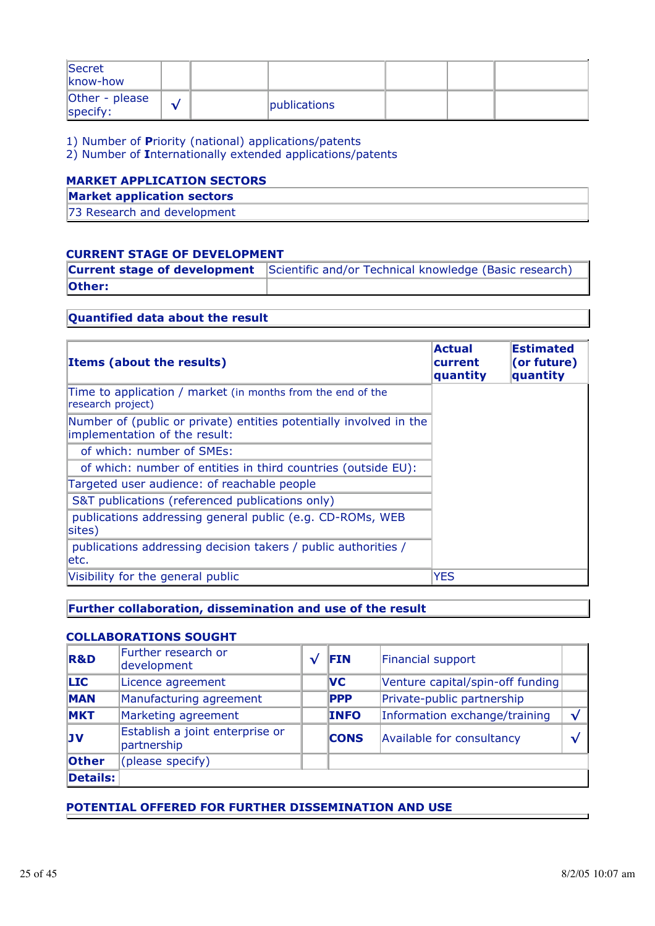| Secret<br>know-how             |  |              |  |  |
|--------------------------------|--|--------------|--|--|
| Other - please<br>$ $ specify: |  | publications |  |  |

1) Number of **P**riority (national) applications/patents

2) Number of **I**nternationally extended applications/patents

# **MARKET APPLICATION SECTORS**

# **Market application sectors**

73 Research and development

### **CURRENT STAGE OF DEVELOPMENT**

|        | <b>Current stage of development</b> Scientific and/or Technical knowledge (Basic research) |
|--------|--------------------------------------------------------------------------------------------|
| Other: |                                                                                            |

### **Quantified data about the result**

| <b>Items (about the results)</b>                                                                    | <b>Actual</b><br>current<br>quantity | <b>Estimated</b><br>(or future)<br>quantity |
|-----------------------------------------------------------------------------------------------------|--------------------------------------|---------------------------------------------|
| Time to application / market (in months from the end of the<br>research project)                    |                                      |                                             |
| Number of (public or private) entities potentially involved in the<br>implementation of the result: |                                      |                                             |
| of which: number of SMEs:                                                                           |                                      |                                             |
| of which: number of entities in third countries (outside EU):                                       |                                      |                                             |
| Targeted user audience: of reachable people                                                         |                                      |                                             |
| S&T publications (referenced publications only)                                                     |                                      |                                             |
| publications addressing general public (e.g. CD-ROMs, WEB<br>sites)                                 |                                      |                                             |
| publications addressing decision takers / public authorities /<br>letc.                             |                                      |                                             |
| Visibility for the general public                                                                   | <b>YES</b>                           |                                             |

### **Further collaboration, dissemination and use of the result**

#### **COLLABORATIONS SOUGHT**

| <b>R&amp;D</b>  | Further research or<br>development             | FIN         | Financial support                |              |
|-----------------|------------------------------------------------|-------------|----------------------------------|--------------|
| <b>LIC</b>      | Licence agreement                              | <b>NC</b>   | Venture capital/spin-off funding |              |
| <b>MAN</b>      | Manufacturing agreement                        | <b>PPP</b>  | Private-public partnership       |              |
| <b>MKT</b>      | Marketing agreement                            | <b>INFO</b> | Information exchange/training    | $\mathbf{v}$ |
| IJν             | Establish a joint enterprise or<br>partnership | <b>CONS</b> | Available for consultancy        | $\mathbf{v}$ |
| <b>Other</b>    | (please specify)                               |             |                                  |              |
| <b>Details:</b> |                                                |             |                                  |              |

# **POTENTIAL OFFERED FOR FURTHER DISSEMINATION AND USE**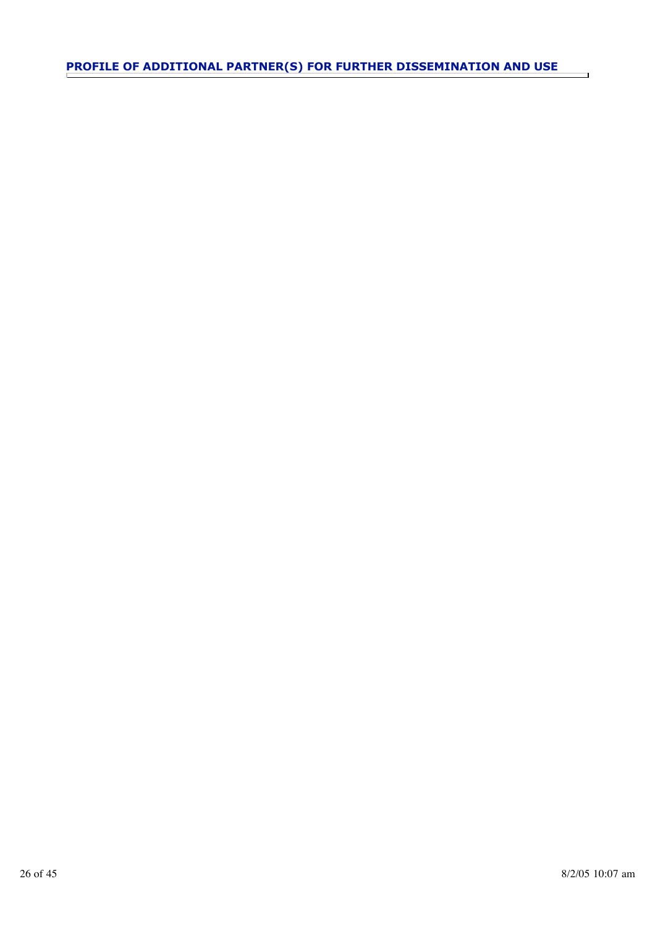÷,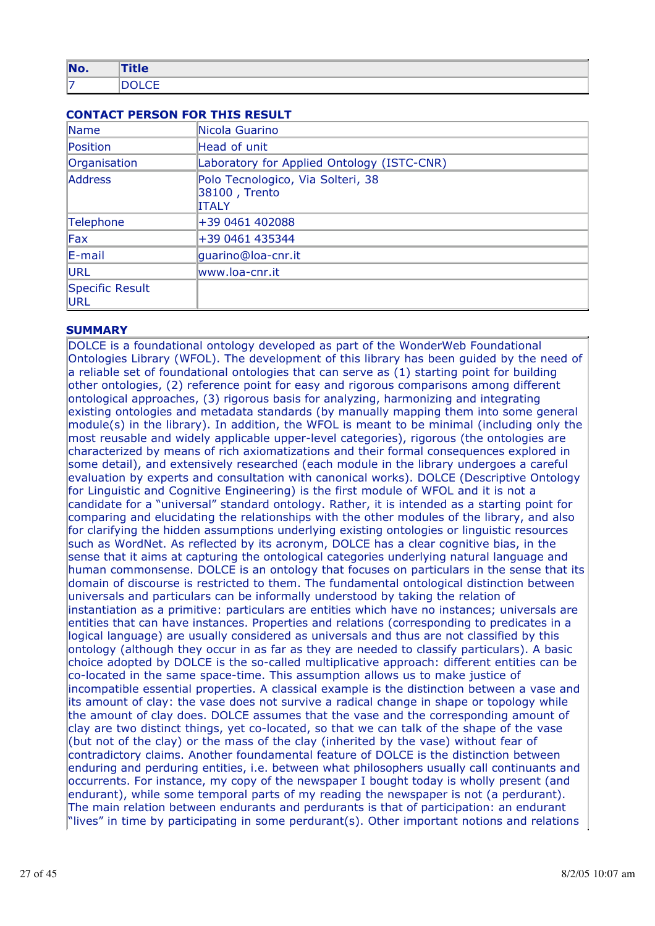| No. |      |
|-----|------|
| ╺   | ____ |

| CONTACT FERSON FOR THIS RESOET |                                                             |
|--------------------------------|-------------------------------------------------------------|
| <b>Name</b>                    | Nicola Guarino                                              |
| Position                       | Head of unit                                                |
| Organisation                   | Laboratory for Applied Ontology (ISTC-CNR)                  |
| <b>Address</b>                 | Polo Tecnologico, Via Solteri, 38<br>38100, Trento<br>ITALY |
| Telephone                      | +39 0461 402088                                             |
| $\mathsf{Fax}$                 | +39 0461 435344                                             |
| <b>IE-mail</b>                 | guarino@loa-cnr.it                                          |
| <b>IURL</b>                    | www.loa-cnr.it                                              |
| Specific Result<br><b>IURL</b> |                                                             |

### **SUMMARY**

DOLCE is a foundational ontology developed as part of the WonderWeb Foundational Ontologies Library (WFOL). The development of this library has been guided by the need of a reliable set of foundational ontologies that can serve as (1) starting point for building other ontologies, (2) reference point for easy and rigorous comparisons among different ontological approaches, (3) rigorous basis for analyzing, harmonizing and integrating existing ontologies and metadata standards (by manually mapping them into some general module(s) in the library). In addition, the WFOL is meant to be minimal (including only the most reusable and widely applicable upper-level categories), rigorous (the ontologies are characterized by means of rich axiomatizations and their formal consequences explored in some detail), and extensively researched (each module in the library undergoes a careful evaluation by experts and consultation with canonical works). DOLCE (Descriptive Ontology for Linguistic and Cognitive Engineering) is the first module of WFOL and it is not a candidate for a "universal" standard ontology. Rather, it is intended as a starting point for comparing and elucidating the relationships with the other modules of the library, and also for clarifying the hidden assumptions underlying existing ontologies or linguistic resources such as WordNet. As reflected by its acronym, DOLCE has a clear cognitive bias, in the sense that it aims at capturing the ontological categories underlying natural language and human commonsense. DOLCE is an ontology that focuses on particulars in the sense that its domain of discourse is restricted to them. The fundamental ontological distinction between universals and particulars can be informally understood by taking the relation of instantiation as a primitive: particulars are entities which have no instances; universals are entities that can have instances. Properties and relations (corresponding to predicates in a logical language) are usually considered as universals and thus are not classified by this ontology (although they occur in as far as they are needed to classify particulars). A basic choice adopted by DOLCE is the so-called multiplicative approach: different entities can be co-located in the same space-time. This assumption allows us to make justice of incompatible essential properties. A classical example is the distinction between a vase and its amount of clay: the vase does not survive a radical change in shape or topology while the amount of clay does. DOLCE assumes that the vase and the corresponding amount of clay are two distinct things, yet co-located, so that we can talk of the shape of the vase (but not of the clay) or the mass of the clay (inherited by the vase) without fear of contradictory claims. Another foundamental feature of DOLCE is the distinction between enduring and perduring entities, i.e. between what philosophers usually call continuants and occurrents. For instance, my copy of the newspaper I bought today is wholly present (and endurant), while some temporal parts of my reading the newspaper is not (a perdurant). The main relation between endurants and perdurants is that of participation: an endurant "lives" in time by participating in some perdurant(s). Other important notions and relations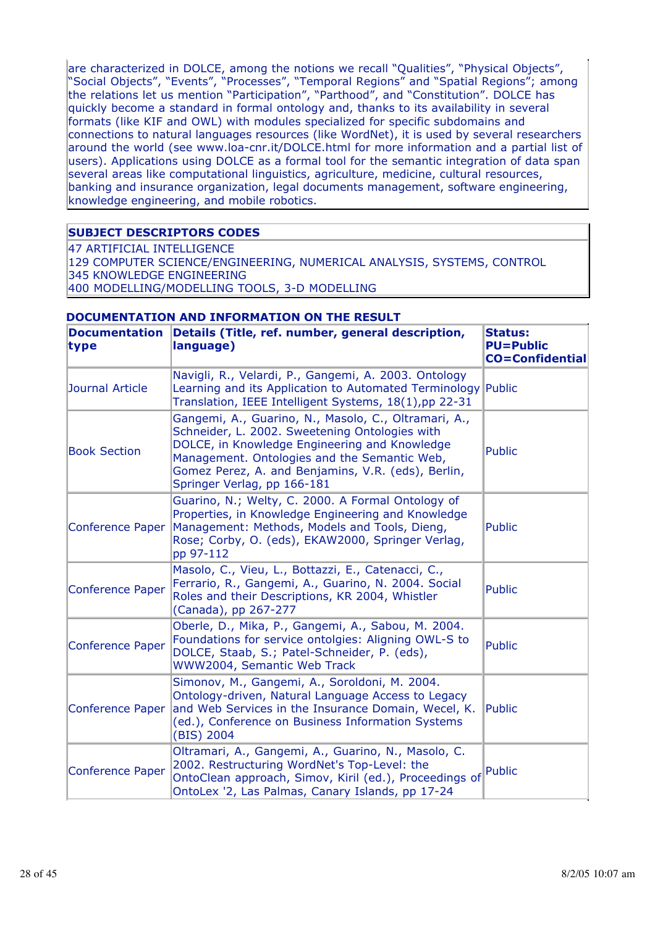are characterized in DOLCE, among the notions we recall "Qualities", "Physical Objects", "Social Objects", "Events", "Processes", "Temporal Regions" and "Spatial Regions"; among the relations let us mention "Participation", "Parthood", and "Constitution". DOLCE has quickly become a standard in formal ontology and, thanks to its availability in several formats (like KIF and OWL) with modules specialized for specific subdomains and connections to natural languages resources (like WordNet), it is used by several researchers around the world (see www.loa-cnr.it/DOLCE.html for more information and a partial list of users). Applications using DOLCE as a formal tool for the semantic integration of data span several areas like computational linguistics, agriculture, medicine, cultural resources, banking and insurance organization, legal documents management, software engineering, knowledge engineering, and mobile robotics.

# **SUBJECT DESCRIPTORS CODES**

47 ARTIFICIAL INTELLIGENCE 129 COMPUTER SCIENCE/ENGINEERING, NUMERICAL ANALYSIS, SYSTEMS, CONTROL 345 KNOWLEDGE ENGINEERING 400 MODELLING/MODELLING TOOLS, 3-D MODELLING

# **DOCUMENTATION AND INFORMATION ON THE RESULT**

| <b>Documentation</b><br>type | Details (Title, ref. number, general description,<br>language)                                                                                                                                                                                                                               | <b>Status:</b><br><b>PU=Public</b><br><b>CO=Confidential</b> |
|------------------------------|----------------------------------------------------------------------------------------------------------------------------------------------------------------------------------------------------------------------------------------------------------------------------------------------|--------------------------------------------------------------|
| Journal Article              | Navigli, R., Velardi, P., Gangemi, A. 2003. Ontology<br>Learning and its Application to Automated Terminology Public<br>Translation, IEEE Intelligent Systems, 18(1),pp 22-31                                                                                                                |                                                              |
| <b>Book Section</b>          | Gangemi, A., Guarino, N., Masolo, C., Oltramari, A.,<br>Schneider, L. 2002. Sweetening Ontologies with<br>DOLCE, in Knowledge Engineering and Knowledge<br>Management. Ontologies and the Semantic Web,<br>Gomez Perez, A. and Benjamins, V.R. (eds), Berlin,<br>Springer Verlag, pp 166-181 | <b>Public</b>                                                |
| Conference Paper             | Guarino, N.; Welty, C. 2000. A Formal Ontology of<br>Properties, in Knowledge Engineering and Knowledge<br>Management: Methods, Models and Tools, Dieng,<br>Rose; Corby, O. (eds), EKAW2000, Springer Verlag,<br>pp 97-112                                                                   | <b>Public</b>                                                |
| Conference Paper             | Masolo, C., Vieu, L., Bottazzi, E., Catenacci, C.,<br>Ferrario, R., Gangemi, A., Guarino, N. 2004. Social<br>Roles and their Descriptions, KR 2004, Whistler<br>(Canada), pp 267-277                                                                                                         | <b>Public</b>                                                |
| Conference Paper             | Oberle, D., Mika, P., Gangemi, A., Sabou, M. 2004.<br>Foundations for service ontolgies: Aligning OWL-S to<br>DOLCE, Staab, S.; Patel-Schneider, P. (eds),<br>WWW2004, Semantic Web Track                                                                                                    | <b>Public</b>                                                |
| Conference Paper             | Simonov, M., Gangemi, A., Soroldoni, M. 2004.<br>Ontology-driven, Natural Language Access to Legacy<br>and Web Services in the Insurance Domain, Wecel, K.<br>(ed.), Conference on Business Information Systems<br>(BIS) 2004                                                                | <b>Public</b>                                                |
| Conference Paper             | Oltramari, A., Gangemi, A., Guarino, N., Masolo, C.<br>2002. Restructuring WordNet's Top-Level: the<br>OntoClean approach, Simov, Kiril (ed.), Proceedings of<br>OntoLex '2, Las Palmas, Canary Islands, pp 17-24                                                                            | Public                                                       |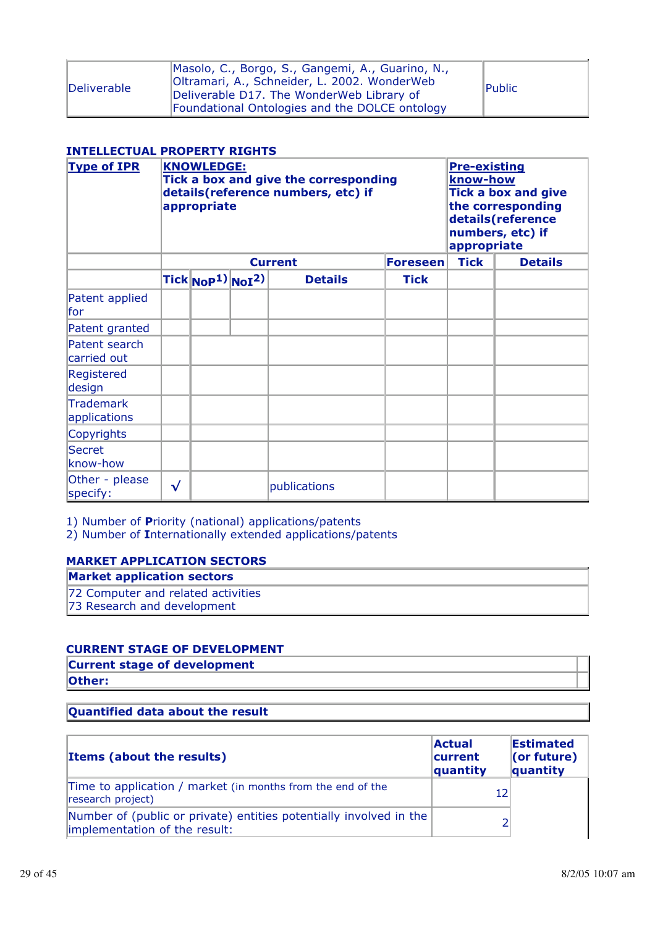| Deliverable | Masolo, C., Borgo, S., Gangemi, A., Guarino, N.,<br> Oltramari, A., Schneider, L. 2002. WonderWeb<br>Deliverable D17. The WonderWeb Library of<br>Foundational Ontologies and the DOLCE ontology | Public |  |
|-------------|--------------------------------------------------------------------------------------------------------------------------------------------------------------------------------------------------|--------|--|
|-------------|--------------------------------------------------------------------------------------------------------------------------------------------------------------------------------------------------|--------|--|

### **INTELLECTUAL PROPERTY RIGHTS**

| <b>Type of IPR</b>               | <b>KNOWLEDGE:</b><br>Tick a box and give the corresponding<br>details(reference numbers, etc) if<br>appropriate |                                         |  |                |                 | <b>Pre-existing</b><br>know-how<br><b>Tick a box and give</b><br>the corresponding<br>details (reference<br>numbers, etc) if<br>appropriate |                |  |
|----------------------------------|-----------------------------------------------------------------------------------------------------------------|-----------------------------------------|--|----------------|-----------------|---------------------------------------------------------------------------------------------------------------------------------------------|----------------|--|
|                                  |                                                                                                                 |                                         |  | <b>Current</b> | <b>Foreseen</b> | <b>Tick</b>                                                                                                                                 | <b>Details</b> |  |
|                                  |                                                                                                                 | Tick NOP <sup>1</sup>  NOP <sup>2</sup> |  | <b>Details</b> | <b>Tick</b>     |                                                                                                                                             |                |  |
| Patent applied<br>lfor           |                                                                                                                 |                                         |  |                |                 |                                                                                                                                             |                |  |
| Patent granted                   |                                                                                                                 |                                         |  |                |                 |                                                                                                                                             |                |  |
| Patent search<br>carried out     |                                                                                                                 |                                         |  |                |                 |                                                                                                                                             |                |  |
| Registered<br>design             |                                                                                                                 |                                         |  |                |                 |                                                                                                                                             |                |  |
| <b>Trademark</b><br>applications |                                                                                                                 |                                         |  |                |                 |                                                                                                                                             |                |  |
| Copyrights                       |                                                                                                                 |                                         |  |                |                 |                                                                                                                                             |                |  |
| <b>Secret</b><br>know-how        |                                                                                                                 |                                         |  |                |                 |                                                                                                                                             |                |  |
| Other - please<br>specify:       | $\checkmark$                                                                                                    |                                         |  | publications   |                 |                                                                                                                                             |                |  |

1) Number of **P**riority (national) applications/patents

2) Number of **I**nternationally extended applications/patents

# **MARKET APPLICATION SECTORS**

| <b>Market application sectors</b>  |  |  |  |
|------------------------------------|--|--|--|
| 72 Computer and related activities |  |  |  |
| 73 Research and development        |  |  |  |

### **CURRENT STAGE OF DEVELOPMENT**

| <b>Current stage of development</b> |  |
|-------------------------------------|--|
| Other:                              |  |

### **Quantified data about the result**

| <b>Items (about the results)</b>                                                                    | Actual<br>current<br>quantity | <b>Estimated</b><br>$ $ (or future)<br>quantity |
|-----------------------------------------------------------------------------------------------------|-------------------------------|-------------------------------------------------|
| Time to application / market (in months from the end of the<br>research project)                    | 12                            |                                                 |
| Number of (public or private) entities potentially involved in the<br>implementation of the result: |                               |                                                 |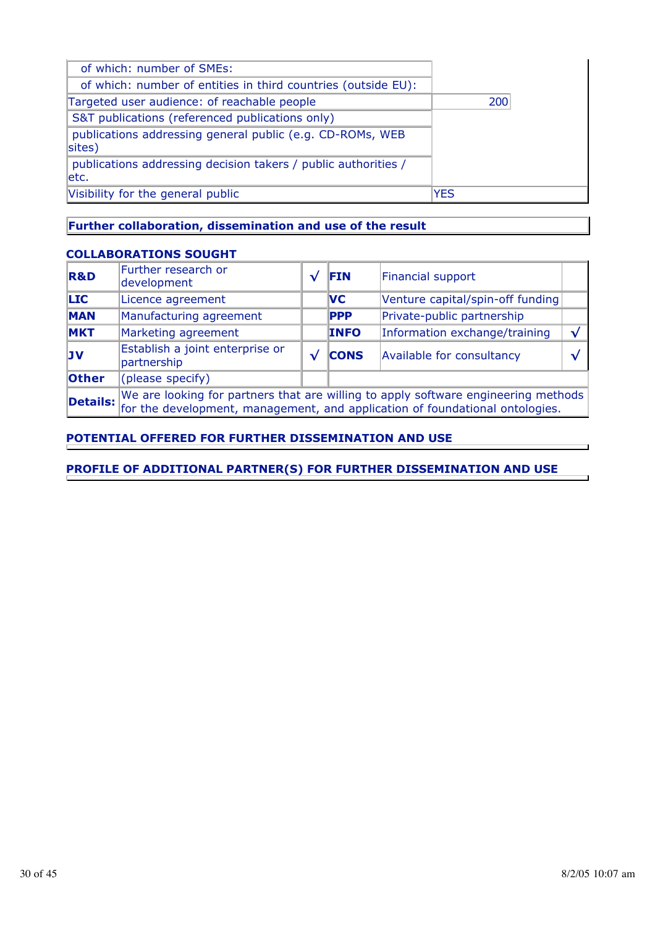| of which: number of SMEs:                                               |            |
|-------------------------------------------------------------------------|------------|
| of which: number of entities in third countries (outside EU):           |            |
| Targeted user audience: of reachable people                             | 200        |
| S&T publications (referenced publications only)                         |            |
| publications addressing general public (e.g. CD-ROMs, WEB<br>sites)     |            |
| publications addressing decision takers / public authorities /<br>letc. |            |
| Visibility for the general public                                       | <b>YES</b> |

# **Further collaboration, dissemination and use of the result**

### **COLLABORATIONS SOUGHT**

| <b>R&amp;D</b> | Further research or<br>development                                                                                                                                 |  | FIN                                           | Financial support             |   |  |
|----------------|--------------------------------------------------------------------------------------------------------------------------------------------------------------------|--|-----------------------------------------------|-------------------------------|---|--|
| <b>LIC</b>     | Licence agreement                                                                                                                                                  |  | Venture capital/spin-off funding<br><b>NC</b> |                               |   |  |
| <b>MAN</b>     | Manufacturing agreement                                                                                                                                            |  | Private-public partnership<br><b>PPP</b>      |                               |   |  |
| <b>MKT</b>     | Marketing agreement                                                                                                                                                |  | <b>INFO</b>                                   | Information exchange/training | ν |  |
| IJV            | Establish a joint enterprise or<br>partnership                                                                                                                     |  | <b>CONS</b><br>Available for consultancy      |                               | V |  |
| <b>Other</b>   | (please specify)                                                                                                                                                   |  |                                               |                               |   |  |
| Details:       | We are looking for partners that are willing to apply software engineering methods<br>for the development, management, and application of foundational ontologies. |  |                                               |                               |   |  |

# **POTENTIAL OFFERED FOR FURTHER DISSEMINATION AND USE**

**PROFILE OF ADDITIONAL PARTNER(S) FOR FURTHER DISSEMINATION AND USE**

the control of the control of the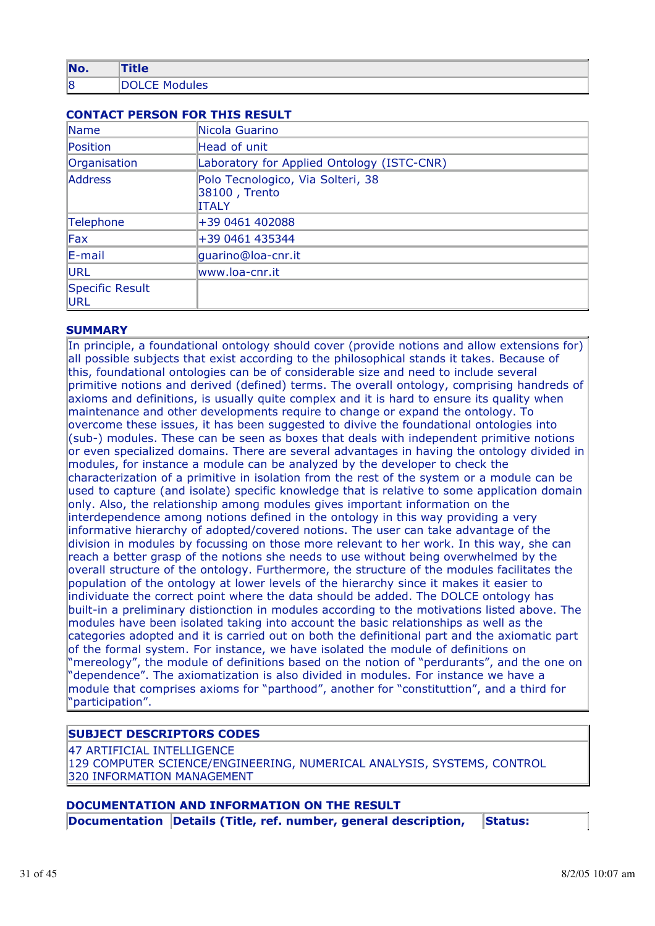| No. |            |
|-----|------------|
| 18  | JE Modules |

| Name                          | Nicola Guarino                                              |  |  |
|-------------------------------|-------------------------------------------------------------|--|--|
| Position                      | Head of unit                                                |  |  |
| Organisation                  | Laboratory for Applied Ontology (ISTC-CNR)                  |  |  |
| <b>Address</b>                | Polo Tecnologico, Via Solteri, 38<br>38100, Trento<br>ITALY |  |  |
| Telephone                     | +39 0461 402088                                             |  |  |
| $\mathsf{Fax}$                | +39 0461 435344                                             |  |  |
| <b>IE-mail</b>                | guarino@loa-cnr.it                                          |  |  |
| <b>URL</b>                    | www.loa-cnr.it                                              |  |  |
| Specific Result<br><b>URL</b> |                                                             |  |  |

### **SUMMARY**

In principle, a foundational ontology should cover (provide notions and allow extensions for) all possible subjects that exist according to the philosophical stands it takes. Because of this, foundational ontologies can be of considerable size and need to include several primitive notions and derived (defined) terms. The overall ontology, comprising handreds of axioms and definitions, is usually quite complex and it is hard to ensure its quality when maintenance and other developments require to change or expand the ontology. To overcome these issues, it has been suggested to divive the foundational ontologies into (sub-) modules. These can be seen as boxes that deals with independent primitive notions or even specialized domains. There are several advantages in having the ontology divided in modules, for instance a module can be analyzed by the developer to check the characterization of a primitive in isolation from the rest of the system or a module can be used to capture (and isolate) specific knowledge that is relative to some application domain only. Also, the relationship among modules gives important information on the interdependence among notions defined in the ontology in this way providing a very informative hierarchy of adopted/covered notions. The user can take advantage of the division in modules by focussing on those more relevant to her work. In this way, she can reach a better grasp of the notions she needs to use without being overwhelmed by the overall structure of the ontology. Furthermore, the structure of the modules facilitates the population of the ontology at lower levels of the hierarchy since it makes it easier to individuate the correct point where the data should be added. The DOLCE ontology has built-in a preliminary distionction in modules according to the motivations listed above. The modules have been isolated taking into account the basic relationships as well as the categories adopted and it is carried out on both the definitional part and the axiomatic part of the formal system. For instance, we have isolated the module of definitions on "mereology", the module of definitions based on the notion of "perdurants", and the one on "dependence". The axiomatization is also divided in modules. For instance we have a module that comprises axioms for "parthood", another for "constituttion", and a third for "participation".

### **SUBJECT DESCRIPTORS CODES**

47 ARTIFICIAL INTELLIGENCE 129 COMPUTER SCIENCE/ENGINEERING, NUMERICAL ANALYSIS, SYSTEMS, CONTROL 320 INFORMATION MANAGEMENT

### **DOCUMENTATION AND INFORMATION ON THE RESULT**

**Documentation Details (Title, ref. number, general description, Status:**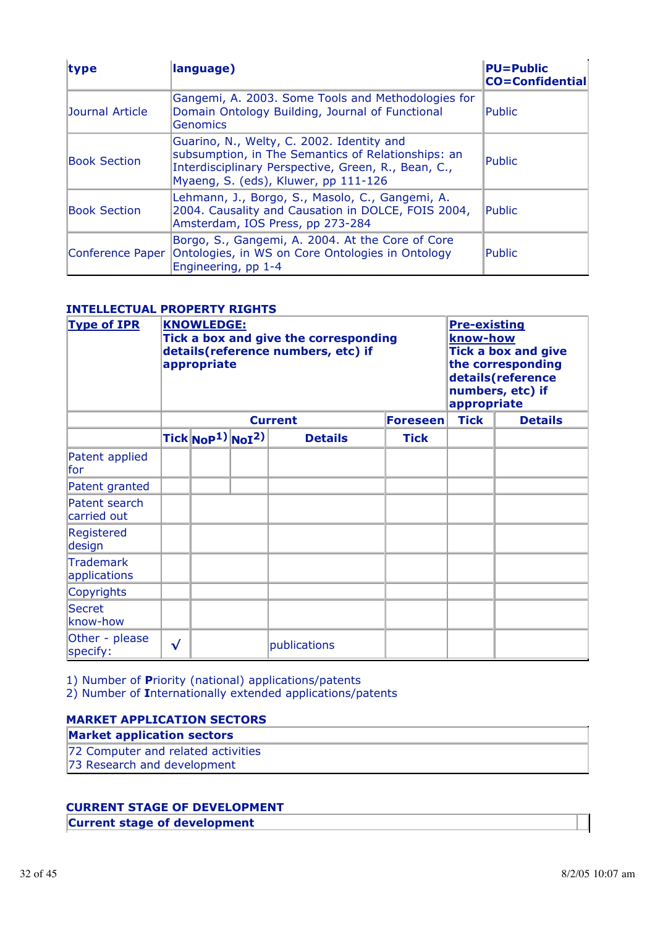| type                   | language)                                                                                                                                                                                      | <b>PU=Public</b><br><b>CO=Confidential</b> |
|------------------------|------------------------------------------------------------------------------------------------------------------------------------------------------------------------------------------------|--------------------------------------------|
| <b>Journal Article</b> | Gangemi, A. 2003. Some Tools and Methodologies for<br>Domain Ontology Building, Journal of Functional<br>Genomics                                                                              | <b>Public</b>                              |
| <b>Book Section</b>    | Guarino, N., Welty, C. 2002. Identity and<br>subsumption, in The Semantics of Relationships: an<br>Interdisciplinary Perspective, Green, R., Bean, C.,<br>Myaeng, S. (eds), Kluwer, pp 111-126 | <b>Public</b>                              |
| <b>Book Section</b>    | Lehmann, J., Borgo, S., Masolo, C., Gangemi, A.<br>2004. Causality and Causation in DOLCE, FOIS 2004,<br>Amsterdam, IOS Press, pp 273-284                                                      | <b>Public</b>                              |
| Conference Paper       | Borgo, S., Gangemi, A. 2004. At the Core of Core<br>Ontologies, in WS on Core Ontologies in Ontology<br>Engineering, pp 1-4                                                                    | <b>Public</b>                              |

# **INTELLECTUAL PROPERTY RIGHTS**

| <b>Type of IPR</b>               |              | <b>KNOWLEDGE:</b><br>Tick a box and give the corresponding<br>details (reference numbers, etc) if<br>appropriate |  | <b>Pre-existing</b><br>know-how<br><b>Tick a box and give</b><br>the corresponding<br>details (reference<br>numbers, etc) if<br>appropriate |                 |                               |  |
|----------------------------------|--------------|------------------------------------------------------------------------------------------------------------------|--|---------------------------------------------------------------------------------------------------------------------------------------------|-----------------|-------------------------------|--|
|                                  |              |                                                                                                                  |  | <b>Current</b>                                                                                                                              | <b>Foreseen</b> | <b>Tick</b><br><b>Details</b> |  |
|                                  |              | Tick NOP <sup>1</sup>  NOP <sup>2</sup>                                                                          |  | <b>Details</b>                                                                                                                              | <b>Tick</b>     |                               |  |
| Patent applied<br>lfor           |              |                                                                                                                  |  |                                                                                                                                             |                 |                               |  |
| Patent granted                   |              |                                                                                                                  |  |                                                                                                                                             |                 |                               |  |
| Patent search<br>carried out     |              |                                                                                                                  |  |                                                                                                                                             |                 |                               |  |
| Registered<br>design             |              |                                                                                                                  |  |                                                                                                                                             |                 |                               |  |
| <b>Trademark</b><br>applications |              |                                                                                                                  |  |                                                                                                                                             |                 |                               |  |
| Copyrights                       |              |                                                                                                                  |  |                                                                                                                                             |                 |                               |  |
| <b>Secret</b><br>know-how        |              |                                                                                                                  |  |                                                                                                                                             |                 |                               |  |
| Other - please<br>specify:       | $\checkmark$ |                                                                                                                  |  | publications                                                                                                                                |                 |                               |  |

1) Number of **P**riority (national) applications/patents

2) Number of **I**nternationally extended applications/patents

### **MARKET APPLICATION SECTORS**

| <b>Market application sectors</b>         |
|-------------------------------------------|
| <b>72 Computer and related activities</b> |
| 73 Research and development               |

### **CURRENT STAGE OF DEVELOPMENT**

**Current stage of development**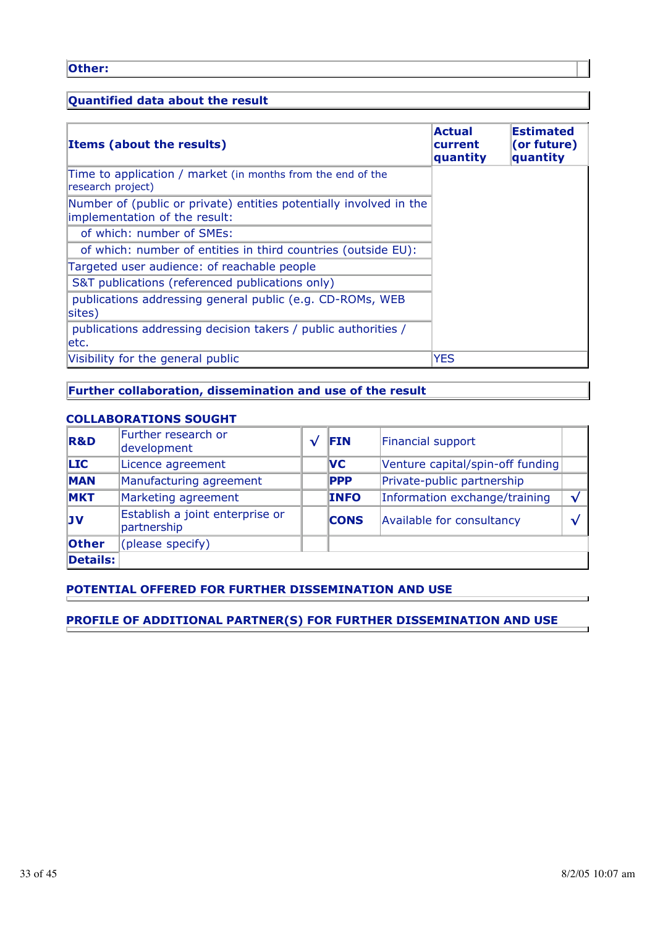# **Quantified data about the result**

| <b>Items (about the results)</b>                                                                    | <b>Actual</b><br>current<br>quantity | <b>Estimated</b><br>(or future)<br>quantity |
|-----------------------------------------------------------------------------------------------------|--------------------------------------|---------------------------------------------|
| Time to application / market (in months from the end of the<br>research project)                    |                                      |                                             |
| Number of (public or private) entities potentially involved in the<br>implementation of the result: |                                      |                                             |
| of which: number of SMEs:                                                                           |                                      |                                             |
| of which: number of entities in third countries (outside EU):                                       |                                      |                                             |
| Targeted user audience: of reachable people                                                         |                                      |                                             |
| S&T publications (referenced publications only)                                                     |                                      |                                             |
| publications addressing general public (e.g. CD-ROMs, WEB<br>sites)                                 |                                      |                                             |
| publications addressing decision takers / public authorities /<br>letc.                             |                                      |                                             |
| Visibility for the general public                                                                   | <b>YES</b>                           |                                             |

# **Further collaboration, dissemination and use of the result**

# **COLLABORATIONS SOUGHT**

| <b>R&amp;D</b> | Further research or<br>development             | FIN         | Financial support                |   |
|----------------|------------------------------------------------|-------------|----------------------------------|---|
| <b>LIC</b>     | Licence agreement                              | <b>NC</b>   | Venture capital/spin-off funding |   |
| <b>MAN</b>     | Manufacturing agreement                        | <b>PPP</b>  | Private-public partnership       |   |
| <b>MKT</b>     | Marketing agreement                            | <b>INFO</b> | Information exchange/training    | V |
| JV             | Establish a joint enterprise or<br>partnership | <b>CONS</b> | Available for consultancy        | ν |
| <b>Other</b>   | (please specify)                               |             |                                  |   |
| Details:       |                                                |             |                                  |   |

# **POTENTIAL OFFERED FOR FURTHER DISSEMINATION AND USE**

# **PROFILE OF ADDITIONAL PARTNER(S) FOR FURTHER DISSEMINATION AND USE**

J.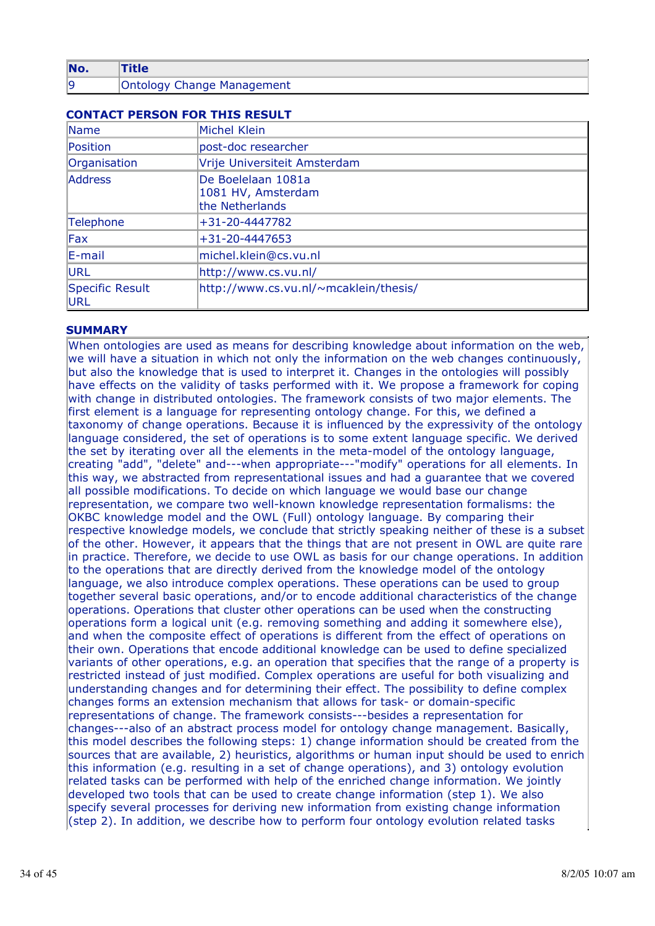| No. | <b>Title</b>                      |
|-----|-----------------------------------|
| 19  | <b>Ontology Change Management</b> |

| <b>Name</b>             | <b>Michel Klein</b>                                         |
|-------------------------|-------------------------------------------------------------|
| Position                | post-doc researcher                                         |
| Organisation            | Vrije Universiteit Amsterdam                                |
| <b>Address</b>          | De Boelelaan 1081a<br>1081 HV, Amsterdam<br>the Netherlands |
| Telephone               | $+31 - 20 - 4447782$                                        |
| Fax                     | +31-20-4447653                                              |
| $E$ -mail               | michel.klein@cs.vu.nl                                       |
| <b>IURL</b>             | http://www.cs.vu.nl/                                        |
| Specific Result<br>IURL | http://www.cs.vu.nl/~mcaklein/thesis/                       |

### **SUMMARY**

When ontologies are used as means for describing knowledge about information on the web, we will have a situation in which not only the information on the web changes continuously, but also the knowledge that is used to interpret it. Changes in the ontologies will possibly have effects on the validity of tasks performed with it. We propose a framework for coping with change in distributed ontologies. The framework consists of two major elements. The first element is a language for representing ontology change. For this, we defined a taxonomy of change operations. Because it is influenced by the expressivity of the ontology language considered, the set of operations is to some extent language specific. We derived the set by iterating over all the elements in the meta-model of the ontology language, creating "add", "delete" and---when appropriate---"modify" operations for all elements. In this way, we abstracted from representational issues and had a guarantee that we covered all possible modifications. To decide on which language we would base our change representation, we compare two well-known knowledge representation formalisms: the OKBC knowledge model and the OWL (Full) ontology language. By comparing their respective knowledge models, we conclude that strictly speaking neither of these is a subset of the other. However, it appears that the things that are not present in OWL are quite rare in practice. Therefore, we decide to use OWL as basis for our change operations. In addition to the operations that are directly derived from the knowledge model of the ontology language, we also introduce complex operations. These operations can be used to group together several basic operations, and/or to encode additional characteristics of the change operations. Operations that cluster other operations can be used when the constructing operations form a logical unit (e.g. removing something and adding it somewhere else), and when the composite effect of operations is different from the effect of operations on their own. Operations that encode additional knowledge can be used to define specialized variants of other operations, e.g. an operation that specifies that the range of a property is restricted instead of just modified. Complex operations are useful for both visualizing and understanding changes and for determining their effect. The possibility to define complex changes forms an extension mechanism that allows for task- or domain-specific representations of change. The framework consists---besides a representation for changes---also of an abstract process model for ontology change management. Basically, this model describes the following steps: 1) change information should be created from the sources that are available, 2) heuristics, algorithms or human input should be used to enrich this information (e.g. resulting in a set of change operations), and 3) ontology evolution related tasks can be performed with help of the enriched change information. We jointly developed two tools that can be used to create change information (step 1). We also specify several processes for deriving new information from existing change information (step 2). In addition, we describe how to perform four ontology evolution related tasks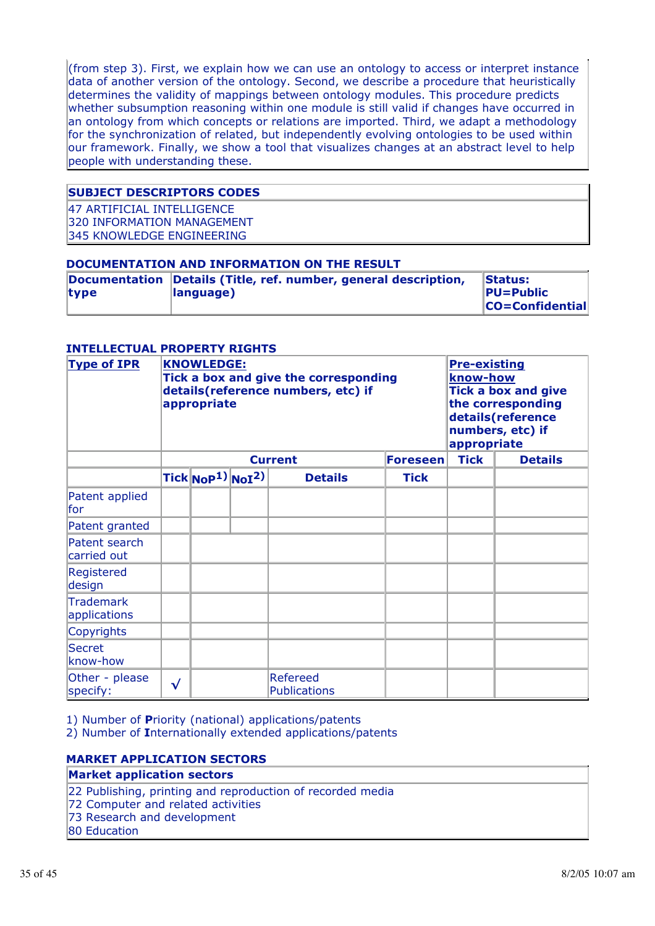(from step 3). First, we explain how we can use an ontology to access or interpret instance data of another version of the ontology. Second, we describe a procedure that heuristically determines the validity of mappings between ontology modules. This procedure predicts whether subsumption reasoning within one module is still valid if changes have occurred in an ontology from which concepts or relations are imported. Third, we adapt a methodology for the synchronization of related, but independently evolving ontologies to be used within our framework. Finally, we show a tool that visualizes changes at an abstract level to help people with understanding these.

### **SUBJECT DESCRIPTORS CODES**

47 ARTIFICIAL INTELLIGENCE 320 INFORMATION MANAGEMENT 345 KNOWLEDGE ENGINEERING

### **DOCUMENTATION AND INFORMATION ON THE RESULT**

|      | Documentation Details (Title, ref. number, general description, | <b>Status:</b>       |
|------|-----------------------------------------------------------------|----------------------|
| type | language)                                                       | <b>PU=Public</b>     |
|      |                                                                 | $ CO =$ Confidential |

### **INTELLECTUAL PROPERTY RIGHTS**

| <b>Type of IPR</b>               |              | <b>KNOWLEDGE:</b><br>Tick a box and give the corresponding<br>details (reference numbers, etc) if<br>appropriate |  | <b>Pre-existing</b><br>know-how<br><b>Tick a box and give</b><br>the corresponding<br>details(reference<br>numbers, etc) if<br>appropriate |                 |             |                |
|----------------------------------|--------------|------------------------------------------------------------------------------------------------------------------|--|--------------------------------------------------------------------------------------------------------------------------------------------|-----------------|-------------|----------------|
|                                  |              |                                                                                                                  |  | <b>Current</b>                                                                                                                             | <b>Foreseen</b> | <b>Tick</b> | <b>Details</b> |
|                                  |              | Tick NOP <sup>1</sup>  NOP <sup>2</sup>                                                                          |  | <b>Details</b>                                                                                                                             | <b>Tick</b>     |             |                |
| Patent applied<br>for            |              |                                                                                                                  |  |                                                                                                                                            |                 |             |                |
| Patent granted                   |              |                                                                                                                  |  |                                                                                                                                            |                 |             |                |
| Patent search<br>carried out     |              |                                                                                                                  |  |                                                                                                                                            |                 |             |                |
| Registered<br>design             |              |                                                                                                                  |  |                                                                                                                                            |                 |             |                |
| <b>Trademark</b><br>applications |              |                                                                                                                  |  |                                                                                                                                            |                 |             |                |
| Copyrights                       |              |                                                                                                                  |  |                                                                                                                                            |                 |             |                |
| Secret<br>know-how               |              |                                                                                                                  |  |                                                                                                                                            |                 |             |                |
| Other - please<br>specify:       | $\checkmark$ |                                                                                                                  |  | <b>Refereed</b><br><b>Publications</b>                                                                                                     |                 |             |                |

1) Number of **P**riority (national) applications/patents

2) Number of **I**nternationally extended applications/patents

### **MARKET APPLICATION SECTORS**

#### **Market application sectors**

- 22 Publishing, printing and reproduction of recorded media
- 72 Computer and related activities
- 73 Research and development
- 80 Education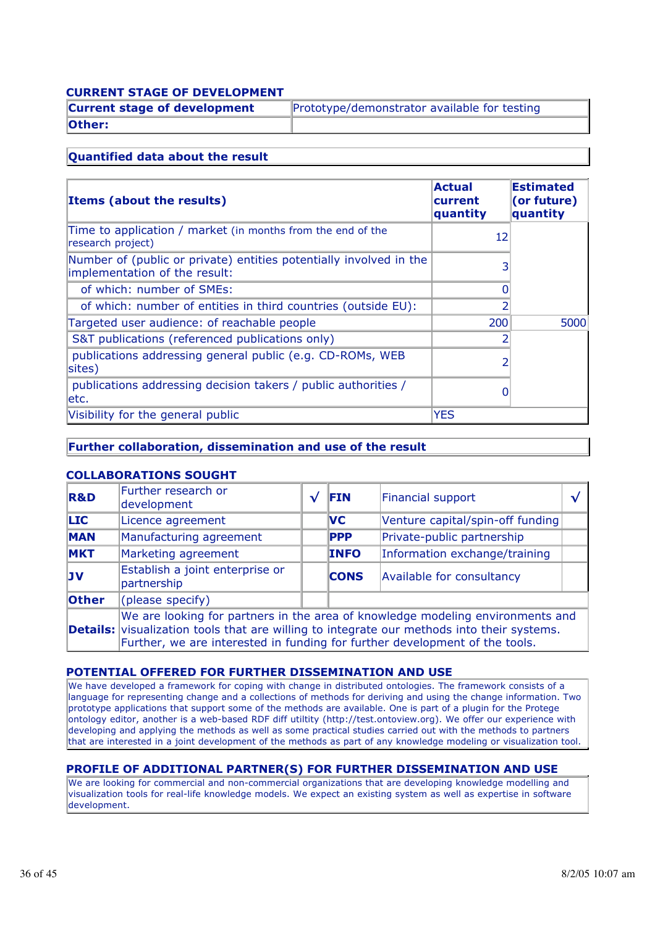### **CURRENT STAGE OF DEVELOPMENT**

| <b>Current stage of development</b> | Prototype/demonstrator available for testing |  |  |  |
|-------------------------------------|----------------------------------------------|--|--|--|
| Other:                              |                                              |  |  |  |

### **Quantified data about the result**

| <b>Items (about the results)</b>                                                                    | <b>Actual</b><br>current<br>quantity | <b>Estimated</b><br>(or future)<br>quantity |
|-----------------------------------------------------------------------------------------------------|--------------------------------------|---------------------------------------------|
| Time to application / market (in months from the end of the<br>research project)                    | 12                                   |                                             |
| Number of (public or private) entities potentially involved in the<br>implementation of the result: |                                      |                                             |
| of which: number of SMEs:                                                                           |                                      |                                             |
| of which: number of entities in third countries (outside EU):                                       |                                      |                                             |
| Targeted user audience: of reachable people                                                         | 200                                  | 5000                                        |
| S&T publications (referenced publications only)                                                     |                                      |                                             |
| publications addressing general public (e.g. CD-ROMs, WEB<br>sites)                                 |                                      |                                             |
| publications addressing decision takers / public authorities /<br>letc.                             |                                      |                                             |
| Visibility for the general public                                                                   | YES                                  |                                             |

### **Further collaboration, dissemination and use of the result**

#### **COLLABORATIONS SOUGHT**

| <b>R&amp;D</b> | Further research or<br>development                                                                                                                                                                                                                                 |  | <b>FIN</b>                               | <b>Financial support</b>         |  |  |  |  |
|----------------|--------------------------------------------------------------------------------------------------------------------------------------------------------------------------------------------------------------------------------------------------------------------|--|------------------------------------------|----------------------------------|--|--|--|--|
| <b>LIC</b>     | Licence agreement                                                                                                                                                                                                                                                  |  | <b>NC</b>                                | Venture capital/spin-off funding |  |  |  |  |
| <b>MAN</b>     | Manufacturing agreement                                                                                                                                                                                                                                            |  | <b>PPP</b>                               | Private-public partnership       |  |  |  |  |
| <b>MKT</b>     | Marketing agreement                                                                                                                                                                                                                                                |  | <b>INFO</b>                              | Information exchange/training    |  |  |  |  |
| IJν            | Establish a joint enterprise or<br>partnership                                                                                                                                                                                                                     |  | <b>CONS</b><br>Available for consultancy |                                  |  |  |  |  |
| <b>Other</b>   | (please specify)                                                                                                                                                                                                                                                   |  |                                          |                                  |  |  |  |  |
|                | We are looking for partners in the area of knowledge modeling environments and<br><b>Details:</b> visualization tools that are willing to integrate our methods into their systems.<br>Further, we are interested in funding for further development of the tools. |  |                                          |                                  |  |  |  |  |

#### **POTENTIAL OFFERED FOR FURTHER DISSEMINATION AND USE**

We have developed a framework for coping with change in distributed ontologies. The framework consists of a language for representing change and a collections of methods for deriving and using the change information. Two prototype applications that support some of the methods are available. One is part of a plugin for the Protege ontology editor, another is a web-based RDF diff utiltity (http://test.ontoview.org). We offer our experience with developing and applying the methods as well as some practical studies carried out with the methods to partners that are interested in a joint development of the methods as part of any knowledge modeling or visualization tool.

### **PROFILE OF ADDITIONAL PARTNER(S) FOR FURTHER DISSEMINATION AND USE**

We are looking for commercial and non-commercial organizations that are developing knowledge modelling and visualization tools for real-life knowledge models. We expect an existing system as well as expertise in software development.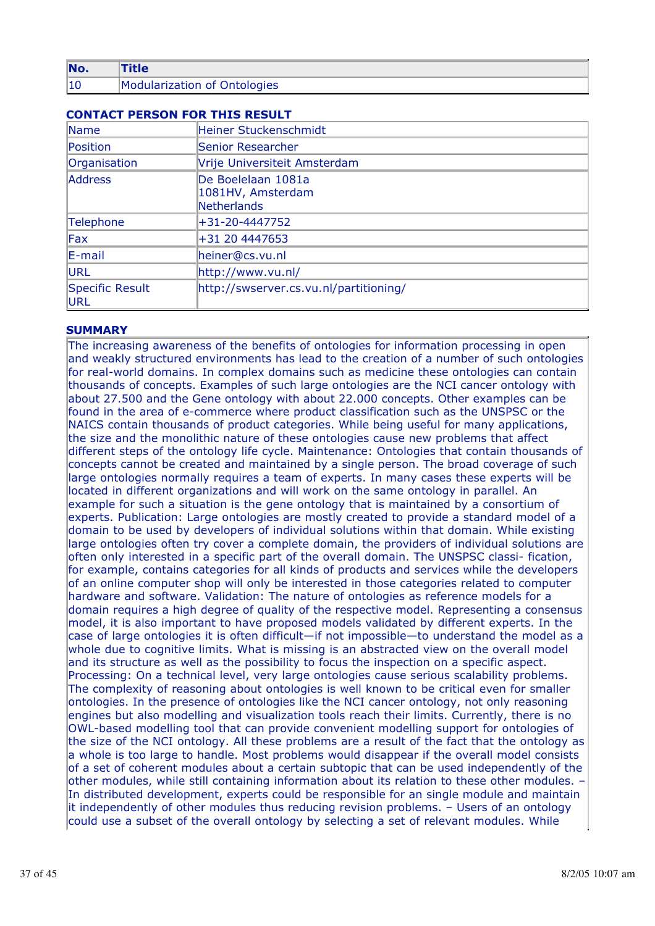| No. |                              |
|-----|------------------------------|
| 10  | Modularization of Ontologies |

|                         | CONTACT FERSON FOR THIS RESOET                         |  |  |  |  |
|-------------------------|--------------------------------------------------------|--|--|--|--|
| <b>Name</b>             | Heiner Stuckenschmidt                                  |  |  |  |  |
| Position                | Senior Researcher                                      |  |  |  |  |
| Organisation            | Vrije Universiteit Amsterdam                           |  |  |  |  |
| <b>Address</b>          | De Boelelaan 1081a<br>1081HV, Amsterdam<br>Netherlands |  |  |  |  |
| Telephone               | +31-20-4447752                                         |  |  |  |  |
| $\mathsf{F}$ ax         | +31 20 4447653                                         |  |  |  |  |
| <b>IE-mail</b>          | heiner@cs.vu.nl                                        |  |  |  |  |
| <b>URL</b>              | http://www.vu.nl/                                      |  |  |  |  |
| Specific Result<br>IURL | http://swserver.cs.vu.nl/partitioning/                 |  |  |  |  |

### **SUMMARY**

The increasing awareness of the benefits of ontologies for information processing in open and weakly structured environments has lead to the creation of a number of such ontologies for real-world domains. In complex domains such as medicine these ontologies can contain thousands of concepts. Examples of such large ontologies are the NCI cancer ontology with about 27.500 and the Gene ontology with about 22.000 concepts. Other examples can be found in the area of e-commerce where product classification such as the UNSPSC or the NAICS contain thousands of product categories. While being useful for many applications, the size and the monolithic nature of these ontologies cause new problems that affect different steps of the ontology life cycle. Maintenance: Ontologies that contain thousands of concepts cannot be created and maintained by a single person. The broad coverage of such large ontologies normally requires a team of experts. In many cases these experts will be located in different organizations and will work on the same ontology in parallel. An example for such a situation is the gene ontology that is maintained by a consortium of experts. Publication: Large ontologies are mostly created to provide a standard model of a domain to be used by developers of individual solutions within that domain. While existing large ontologies often try cover a complete domain, the providers of individual solutions are often only interested in a specific part of the overall domain. The UNSPSC classi- fication, for example, contains categories for all kinds of products and services while the developers of an online computer shop will only be interested in those categories related to computer hardware and software. Validation: The nature of ontologies as reference models for a domain requires a high degree of quality of the respective model. Representing a consensus model, it is also important to have proposed models validated by different experts. In the case of large ontologies it is often difficult—if not impossible—to understand the model as a whole due to cognitive limits. What is missing is an abstracted view on the overall model and its structure as well as the possibility to focus the inspection on a specific aspect. Processing: On a technical level, very large ontologies cause serious scalability problems. The complexity of reasoning about ontologies is well known to be critical even for smaller ontologies. In the presence of ontologies like the NCI cancer ontology, not only reasoning engines but also modelling and visualization tools reach their limits. Currently, there is no OWL-based modelling tool that can provide convenient modelling support for ontologies of the size of the NCI ontology. All these problems are a result of the fact that the ontology as a whole is too large to handle. Most problems would disappear if the overall model consists of a set of coherent modules about a certain subtopic that can be used independently of the other modules, while still containing information about its relation to these other modules. -In distributed development, experts could be responsible for an single module and maintain it independently of other modules thus reducing revision problems. – Users of an ontology could use a subset of the overall ontology by selecting a set of relevant modules. While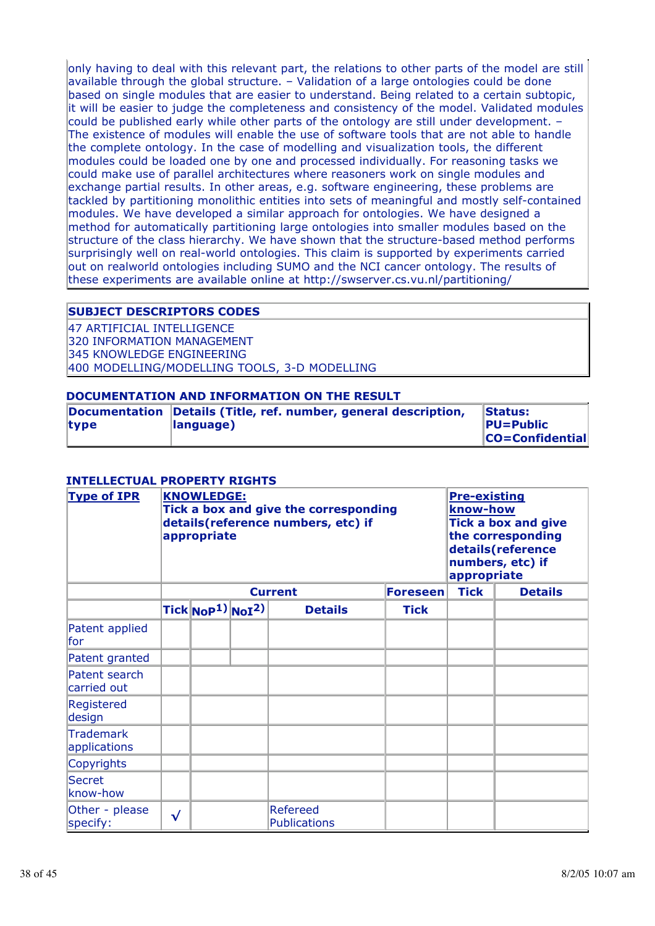only having to deal with this relevant part, the relations to other parts of the model are still available through the global structure. – Validation of a large ontologies could be done based on single modules that are easier to understand. Being related to a certain subtopic, it will be easier to judge the completeness and consistency of the model. Validated modules could be published early while other parts of the ontology are still under development. – The existence of modules will enable the use of software tools that are not able to handle the complete ontology. In the case of modelling and visualization tools, the different modules could be loaded one by one and processed individually. For reasoning tasks we could make use of parallel architectures where reasoners work on single modules and exchange partial results. In other areas, e.g. software engineering, these problems are tackled by partitioning monolithic entities into sets of meaningful and mostly self-contained modules. We have developed a similar approach for ontologies. We have designed a method for automatically partitioning large ontologies into smaller modules based on the structure of the class hierarchy. We have shown that the structure-based method performs surprisingly well on real-world ontologies. This claim is supported by experiments carried out on realworld ontologies including SUMO and the NCI cancer ontology. The results of these experiments are available online at http://swserver.cs.vu.nl/partitioning/

### **SUBJECT DESCRIPTORS CODES**

47 ARTIFICIAL INTELLIGENCE 320 INFORMATION MANAGEMENT 345 KNOWLEDGE ENGINEERING 400 MODELLING/MODELLING TOOLS, 3-D MODELLING

### **DOCUMENTATION AND INFORMATION ON THE RESULT**

|      | Documentation Details (Title, ref. number, general description, | <b>Status:</b>       |
|------|-----------------------------------------------------------------|----------------------|
| type | language)                                                       | $ PU=Public$         |
|      |                                                                 | $ CO =$ Confidential |

# **INTELLECTUAL PROPERTY RIGHTS**

| <b>Type of IPR</b>           | <b>KNOWLEDGE:</b><br>Tick a box and give the corresponding<br>details (reference numbers, etc) if<br>appropriate |                                         |  |                                 |                 | <b>Pre-existing</b><br>know-how<br><b>Tick a box and give</b><br>the corresponding<br>details (reference<br>numbers, etc) if<br>appropriate |                |  |
|------------------------------|------------------------------------------------------------------------------------------------------------------|-----------------------------------------|--|---------------------------------|-----------------|---------------------------------------------------------------------------------------------------------------------------------------------|----------------|--|
|                              |                                                                                                                  |                                         |  | <b>Current</b>                  | <b>Foreseen</b> | <b>Tick</b>                                                                                                                                 | <b>Details</b> |  |
|                              |                                                                                                                  | Tick NOP <sup>1</sup>  NOP <sup>2</sup> |  | <b>Details</b>                  | <b>Tick</b>     |                                                                                                                                             |                |  |
| Patent applied<br>lfor       |                                                                                                                  |                                         |  |                                 |                 |                                                                                                                                             |                |  |
| Patent granted               |                                                                                                                  |                                         |  |                                 |                 |                                                                                                                                             |                |  |
| Patent search<br>carried out |                                                                                                                  |                                         |  |                                 |                 |                                                                                                                                             |                |  |
| Registered<br>design         |                                                                                                                  |                                         |  |                                 |                 |                                                                                                                                             |                |  |
| Trademark<br>applications    |                                                                                                                  |                                         |  |                                 |                 |                                                                                                                                             |                |  |
| Copyrights                   |                                                                                                                  |                                         |  |                                 |                 |                                                                                                                                             |                |  |
| Secret<br>know-how           |                                                                                                                  |                                         |  |                                 |                 |                                                                                                                                             |                |  |
| Other - please<br>specify:   | $\checkmark$                                                                                                     |                                         |  | Refereed<br><b>Publications</b> |                 |                                                                                                                                             |                |  |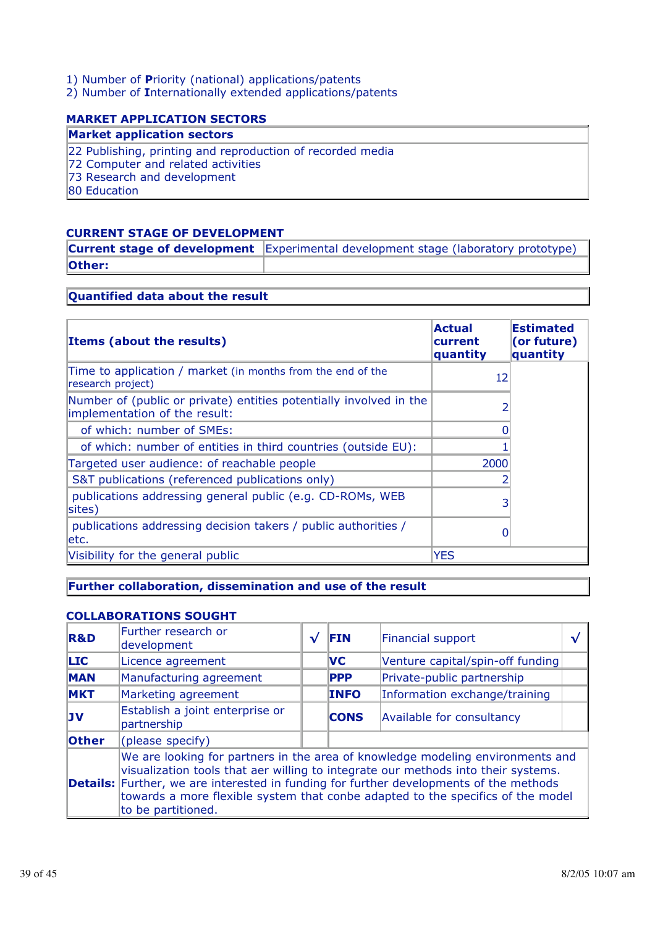- 1) Number of **P**riority (national) applications/patents
- 2) Number of **I**nternationally extended applications/patents

# **MARKET APPLICATION SECTORS**

# **Market application sectors**

22 Publishing, printing and reproduction of recorded media

72 Computer and related activities

73 Research and development

80 Education

# **CURRENT STAGE OF DEVELOPMENT**

|        | <b>Current stage of development</b> Experimental development stage (laboratory prototype) |  |  |  |  |
|--------|-------------------------------------------------------------------------------------------|--|--|--|--|
| Other: |                                                                                           |  |  |  |  |

# **Quantified data about the result**

| <b>Items (about the results)</b>                                                                    | <b>Actual</b><br>current<br>quantity | <b>Estimated</b><br>(or future)<br>quantity |
|-----------------------------------------------------------------------------------------------------|--------------------------------------|---------------------------------------------|
| Time to application / market (in months from the end of the<br>research project)                    | 12                                   |                                             |
| Number of (public or private) entities potentially involved in the<br>implementation of the result: |                                      |                                             |
| of which: number of SMEs:                                                                           |                                      |                                             |
| of which: number of entities in third countries (outside EU):                                       |                                      |                                             |
| Targeted user audience: of reachable people                                                         | 2000                                 |                                             |
| S&T publications (referenced publications only)                                                     |                                      |                                             |
| publications addressing general public (e.g. CD-ROMs, WEB<br>sites)                                 |                                      |                                             |
| publications addressing decision takers / public authorities /<br>letc.                             |                                      |                                             |
| Visibility for the general public                                                                   | <b>YES</b>                           |                                             |

# **Further collaboration, dissemination and use of the result**

### **COLLABORATIONS SOUGHT**

| R&D          | Further research or<br>development                                                                                                                                                                                                                                                                                                                                            | FIN |             | Financial support                |  |  |
|--------------|-------------------------------------------------------------------------------------------------------------------------------------------------------------------------------------------------------------------------------------------------------------------------------------------------------------------------------------------------------------------------------|-----|-------------|----------------------------------|--|--|
| <b>LIC</b>   | Licence agreement                                                                                                                                                                                                                                                                                                                                                             |     | <b>VC</b>   | Venture capital/spin-off funding |  |  |
| <b>MAN</b>   | Manufacturing agreement                                                                                                                                                                                                                                                                                                                                                       |     | <b>PPP</b>  | Private-public partnership       |  |  |
| <b>MKT</b>   | Marketing agreement                                                                                                                                                                                                                                                                                                                                                           |     | <b>INFO</b> | Information exchange/training    |  |  |
| IJV          | Establish a joint enterprise or<br>partnership                                                                                                                                                                                                                                                                                                                                |     | <b>CONS</b> | Available for consultancy        |  |  |
| <b>Other</b> | (please specify)                                                                                                                                                                                                                                                                                                                                                              |     |             |                                  |  |  |
|              | We are looking for partners in the area of knowledge modeling environments and<br>visualization tools that aer willing to integrate our methods into their systems.<br><b>Details:</b> Further, we are interested in funding for further developments of the methods<br>towards a more flexible system that conbe adapted to the specifics of the model<br>to be partitioned. |     |             |                                  |  |  |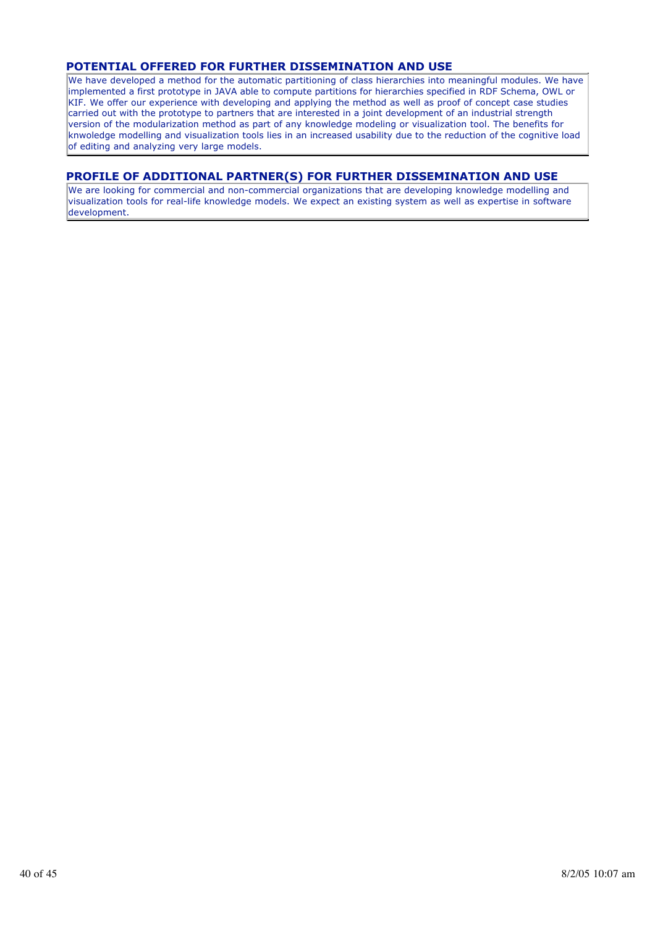### **POTENTIAL OFFERED FOR FURTHER DISSEMINATION AND USE**

We have developed a method for the automatic partitioning of class hierarchies into meaningful modules. We have implemented a first prototype in JAVA able to compute partitions for hierarchies specified in RDF Schema, OWL or KIF. We offer our experience with developing and applying the method as well as proof of concept case studies carried out with the prototype to partners that are interested in a joint development of an industrial strength version of the modularization method as part of any knowledge modeling or visualization tool. The benefits for knwoledge modelling and visualization tools lies in an increased usability due to the reduction of the cognitive load of editing and analyzing very large models.

#### **PROFILE OF ADDITIONAL PARTNER(S) FOR FURTHER DISSEMINATION AND USE**

We are looking for commercial and non-commercial organizations that are developing knowledge modelling and visualization tools for real-life knowledge models. We expect an existing system as well as expertise in software development.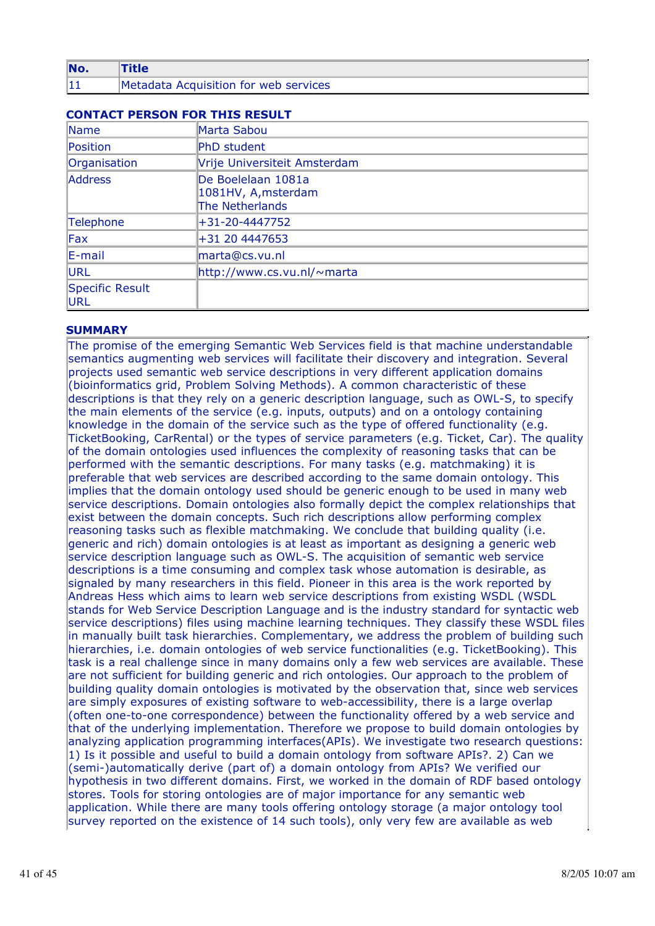| <b>No</b> |                                       |
|-----------|---------------------------------------|
|           | Metadata Acquisition for web services |

| Name                   | Marta Sabou                                                  |  |  |
|------------------------|--------------------------------------------------------------|--|--|
| Position               | <b>PhD student</b>                                           |  |  |
| Organisation           | Vrije Universiteit Amsterdam                                 |  |  |
| <b>Address</b>         | De Boelelaan 1081a<br>1081HV, A, msterdam<br>The Netherlands |  |  |
| Telephone              | +31-20-4447752                                               |  |  |
| $\mathsf{F}$ ax        | +31 20 4447653                                               |  |  |
| <b>IE-mail</b>         | marta@cs.vu.nl                                               |  |  |
| <b>URL</b>             | http://www.cs.vu.nl/~marta                                   |  |  |
| Specific Result<br>URL |                                                              |  |  |

#### **SUMMARY**

The promise of the emerging Semantic Web Services field is that machine understandable semantics augmenting web services will facilitate their discovery and integration. Several projects used semantic web service descriptions in very different application domains (bioinformatics grid, Problem Solving Methods). A common characteristic of these descriptions is that they rely on a generic description language, such as OWL-S, to specify the main elements of the service (e.g. inputs, outputs) and on a ontology containing knowledge in the domain of the service such as the type of offered functionality (e.g. TicketBooking, CarRental) or the types of service parameters (e.g. Ticket, Car). The quality of the domain ontologies used influences the complexity of reasoning tasks that can be performed with the semantic descriptions. For many tasks (e.g. matchmaking) it is preferable that web services are described according to the same domain ontology. This implies that the domain ontology used should be generic enough to be used in many web service descriptions. Domain ontologies also formally depict the complex relationships that exist between the domain concepts. Such rich descriptions allow performing complex reasoning tasks such as flexible matchmaking. We conclude that building quality (i.e. generic and rich) domain ontologies is at least as important as designing a generic web service description language such as OWL-S. The acquisition of semantic web service descriptions is a time consuming and complex task whose automation is desirable, as signaled by many researchers in this field. Pioneer in this area is the work reported by Andreas Hess which aims to learn web service descriptions from existing WSDL (WSDL stands for Web Service Description Language and is the industry standard for syntactic web service descriptions) files using machine learning techniques. They classify these WSDL files in manually built task hierarchies. Complementary, we address the problem of building such hierarchies, i.e. domain ontologies of web service functionalities (e.g. TicketBooking). This task is a real challenge since in many domains only a few web services are available. These are not sufficient for building generic and rich ontologies. Our approach to the problem of building quality domain ontologies is motivated by the observation that, since web services are simply exposures of existing software to web-accessibility, there is a large overlap (often one-to-one correspondence) between the functionality offered by a web service and that of the underlying implementation. Therefore we propose to build domain ontologies by analyzing application programming interfaces(APIs). We investigate two research questions: 1) Is it possible and useful to build a domain ontology from software APIs?. 2) Can we (semi-)automatically derive (part of) a domain ontology from APIs? We verified our hypothesis in two different domains. First, we worked in the domain of RDF based ontology stores. Tools for storing ontologies are of major importance for any semantic web application. While there are many tools offering ontology storage (a major ontology tool survey reported on the existence of 14 such tools), only very few are available as web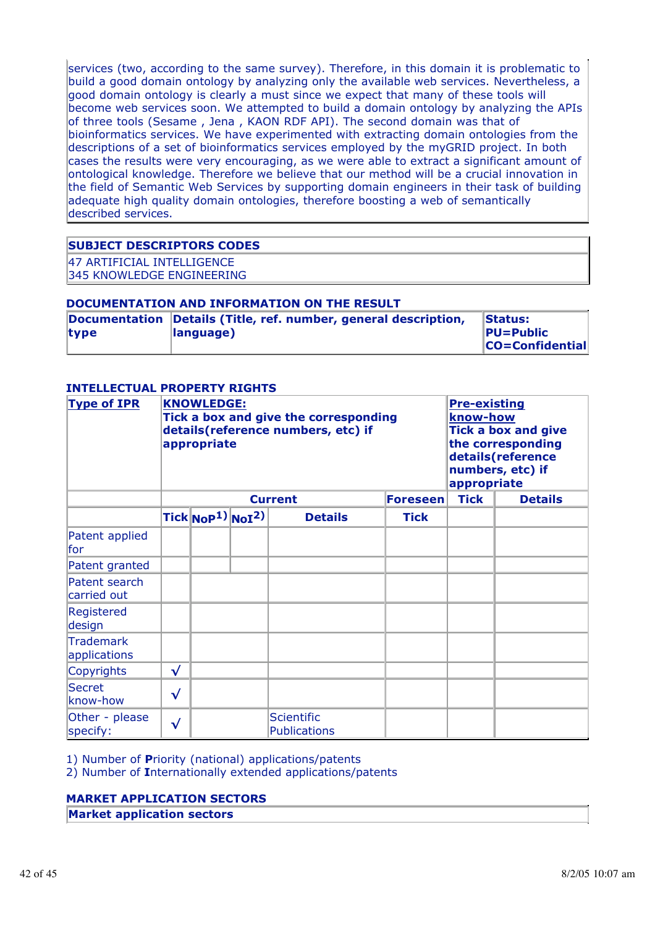services (two, according to the same survey). Therefore, in this domain it is problematic to build a good domain ontology by analyzing only the available web services. Nevertheless, a good domain ontology is clearly a must since we expect that many of these tools will become web services soon. We attempted to build a domain ontology by analyzing the APIs of three tools (Sesame , Jena , KAON RDF API). The second domain was that of bioinformatics services. We have experimented with extracting domain ontologies from the descriptions of a set of bioinformatics services employed by the myGRID project. In both cases the results were very encouraging, as we were able to extract a significant amount of ontological knowledge. Therefore we believe that our method will be a crucial innovation in the field of Semantic Web Services by supporting domain engineers in their task of building adequate high quality domain ontologies, therefore boosting a web of semantically described services.

# **SUBJECT DESCRIPTORS CODES**

47 ARTIFICIAL INTELLIGENCE 345 KNOWLEDGE ENGINEERING

### **DOCUMENTATION AND INFORMATION ON THE RESULT**

|          | Documentation Details (Title, ref. number, general description, | <b>Status:</b>       |
|----------|-----------------------------------------------------------------|----------------------|
| ${type}$ | (language)                                                      | $ PU=Public$         |
|          |                                                                 | $ CO =$ Confidential |

### **INTELLECTUAL PROPERTY RIGHTS**

| <b>Type of IPR</b>               |              | <b>KNOWLEDGE:</b><br>Tick a box and give the corresponding<br>details(reference numbers, etc) if<br>appropriate |  | <b>Pre-existing</b><br>know-how<br><b>Tick a box and give</b><br>the corresponding<br>details (reference<br>numbers, etc) if<br>appropriate |                 |             |                |
|----------------------------------|--------------|-----------------------------------------------------------------------------------------------------------------|--|---------------------------------------------------------------------------------------------------------------------------------------------|-----------------|-------------|----------------|
|                                  |              |                                                                                                                 |  | <b>Current</b>                                                                                                                              | <b>Foreseen</b> | <b>Tick</b> | <b>Details</b> |
|                                  |              | Tick NOP <sup>1</sup>  NOP <sup>2</sup>                                                                         |  | <b>Details</b>                                                                                                                              | <b>Tick</b>     |             |                |
| Patent applied<br>for            |              |                                                                                                                 |  |                                                                                                                                             |                 |             |                |
| Patent granted                   |              |                                                                                                                 |  |                                                                                                                                             |                 |             |                |
| Patent search<br>carried out     |              |                                                                                                                 |  |                                                                                                                                             |                 |             |                |
| Registered<br>design             |              |                                                                                                                 |  |                                                                                                                                             |                 |             |                |
| <b>Trademark</b><br>applications |              |                                                                                                                 |  |                                                                                                                                             |                 |             |                |
| Copyrights                       | $\checkmark$ |                                                                                                                 |  |                                                                                                                                             |                 |             |                |
| Secret<br>know-how               | $\checkmark$ |                                                                                                                 |  |                                                                                                                                             |                 |             |                |
| Other - please<br>specify:       | $\checkmark$ |                                                                                                                 |  | Scientific<br><b>Publications</b>                                                                                                           |                 |             |                |

1) Number of **P**riority (national) applications/patents

2) Number of **I**nternationally extended applications/patents

### **MARKET APPLICATION SECTORS**

**Market application sectors**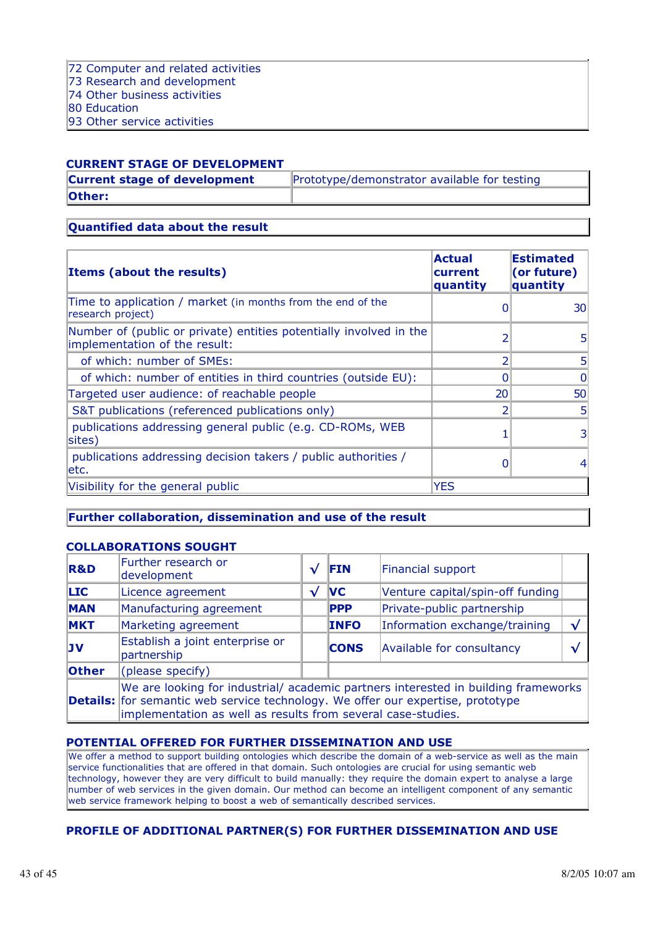73 Research and development

74 Other business activities 80 Education

93 Other service activities

### **CURRENT STAGE OF DEVELOPMENT**

| <b>Current stage of development</b> | Prototype/demonstrator available for testing |
|-------------------------------------|----------------------------------------------|
| Other:                              |                                              |

### **Quantified data about the result**

| <b>Items (about the results)</b>                                                                    | <b>Actual</b><br>current<br>quantity | <b>Estimated</b><br>(or future)<br>quantity |
|-----------------------------------------------------------------------------------------------------|--------------------------------------|---------------------------------------------|
| Time to application / market (in months from the end of the<br>research project)                    |                                      | 30                                          |
| Number of (public or private) entities potentially involved in the<br>implementation of the result: |                                      |                                             |
| of which: number of SMEs:                                                                           |                                      |                                             |
| of which: number of entities in third countries (outside EU):                                       | O                                    |                                             |
| Targeted user audience: of reachable people                                                         | 20                                   | 50                                          |
| S&T publications (referenced publications only)                                                     |                                      |                                             |
| publications addressing general public (e.g. CD-ROMs, WEB<br>sites)                                 |                                      |                                             |
| publications addressing decision takers / public authorities /<br>letc.                             | 0                                    |                                             |
| Visibility for the general public                                                                   | <b>YES</b>                           |                                             |

# **Further collaboration, dissemination and use of the result**

# **COLLABORATIONS SOUGHT**

| <b>R&amp;D</b> | Further research or<br>development                                                                                                                                                                                                           |  | <b>FIN</b>  | Financial support                |   |
|----------------|----------------------------------------------------------------------------------------------------------------------------------------------------------------------------------------------------------------------------------------------|--|-------------|----------------------------------|---|
| <b>LIC</b>     | Licence agreement                                                                                                                                                                                                                            |  | <b>NC</b>   | Venture capital/spin-off funding |   |
| <b>MAN</b>     | Manufacturing agreement                                                                                                                                                                                                                      |  | <b>PPP</b>  | Private-public partnership       |   |
| <b>MKT</b>     | Marketing agreement                                                                                                                                                                                                                          |  | <b>INFO</b> | Information exchange/training    | Ñ |
| IJν            | Establish a joint enterprise or<br>partnership                                                                                                                                                                                               |  | <b>CONS</b> | Available for consultancy        | V |
| <b>Other</b>   | (please specify)                                                                                                                                                                                                                             |  |             |                                  |   |
|                | We are looking for industrial/ academic partners interested in building frameworks<br><b>Details:</b> for semantic web service technology. We offer our expertise, prototype<br>implementation as well as results from several case-studies. |  |             |                                  |   |

### **POTENTIAL OFFERED FOR FURTHER DISSEMINATION AND USE**

We offer a method to support building ontologies which describe the domain of a web-service as well as the main service functionalities that are offered in that domain. Such ontologies are crucial for using semantic web technology, however they are very difficult to build manually: they require the domain expert to analyse a large number of web services in the given domain. Our method can become an intelligent component of any semantic web service framework helping to boost a web of semantically described services.

# **PROFILE OF ADDITIONAL PARTNER(S) FOR FURTHER DISSEMINATION AND USE**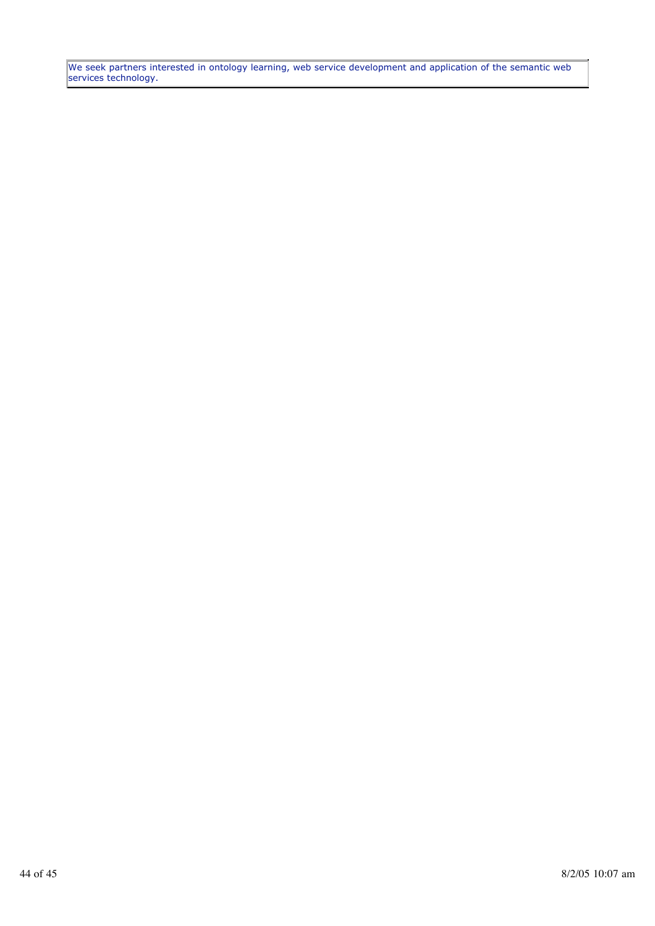We seek partners interested in ontology learning, web service development and application of the semantic web services technology.